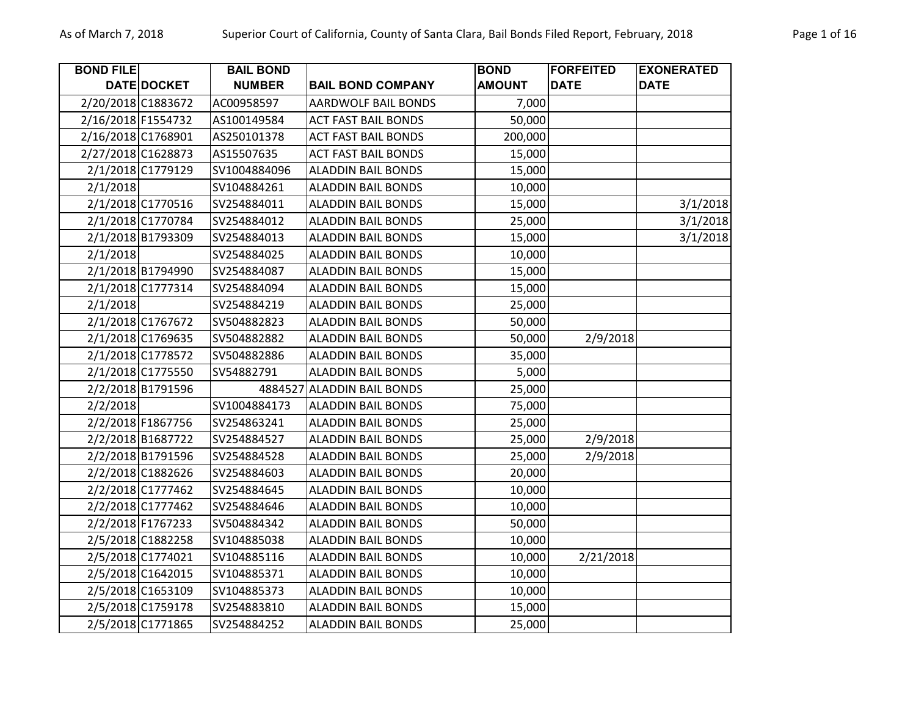| <b>BOND FILE</b>   |                   | <b>BAIL BOND</b> |                            | <b>BOND</b>   | <b>FORFEITED</b> | <b>EXONERATED</b> |
|--------------------|-------------------|------------------|----------------------------|---------------|------------------|-------------------|
|                    | DATE DOCKET       | <b>NUMBER</b>    | <b>BAIL BOND COMPANY</b>   | <b>AMOUNT</b> | <b>DATE</b>      | <b>DATE</b>       |
| 2/20/2018 C1883672 |                   | AC00958597       | AARDWOLF BAIL BONDS        | 7,000         |                  |                   |
| 2/16/2018 F1554732 |                   | AS100149584      | <b>ACT FAST BAIL BONDS</b> | 50,000        |                  |                   |
| 2/16/2018 C1768901 |                   | AS250101378      | <b>ACT FAST BAIL BONDS</b> | 200,000       |                  |                   |
| 2/27/2018 C1628873 |                   | AS15507635       | <b>ACT FAST BAIL BONDS</b> | 15,000        |                  |                   |
|                    | 2/1/2018 C1779129 | SV1004884096     | <b>ALADDIN BAIL BONDS</b>  | 15,000        |                  |                   |
| 2/1/2018           |                   | SV104884261      | <b>ALADDIN BAIL BONDS</b>  | 10,000        |                  |                   |
|                    | 2/1/2018 C1770516 | SV254884011      | <b>ALADDIN BAIL BONDS</b>  | 15,000        |                  | 3/1/2018          |
|                    | 2/1/2018 C1770784 | SV254884012      | <b>ALADDIN BAIL BONDS</b>  | 25,000        |                  | 3/1/2018          |
|                    | 2/1/2018 B1793309 | SV254884013      | <b>ALADDIN BAIL BONDS</b>  | 15,000        |                  | 3/1/2018          |
| 2/1/2018           |                   | SV254884025      | <b>ALADDIN BAIL BONDS</b>  | 10,000        |                  |                   |
|                    | 2/1/2018 B1794990 | SV254884087      | <b>ALADDIN BAIL BONDS</b>  | 15,000        |                  |                   |
|                    | 2/1/2018 C1777314 | SV254884094      | <b>ALADDIN BAIL BONDS</b>  | 15,000        |                  |                   |
| 2/1/2018           |                   | SV254884219      | <b>ALADDIN BAIL BONDS</b>  | 25,000        |                  |                   |
|                    | 2/1/2018 C1767672 | SV504882823      | <b>ALADDIN BAIL BONDS</b>  | 50,000        |                  |                   |
|                    | 2/1/2018 C1769635 | SV504882882      | <b>ALADDIN BAIL BONDS</b>  | 50,000        | 2/9/2018         |                   |
|                    | 2/1/2018 C1778572 | SV504882886      | <b>ALADDIN BAIL BONDS</b>  | 35,000        |                  |                   |
|                    | 2/1/2018 C1775550 | SV54882791       | <b>ALADDIN BAIL BONDS</b>  | 5,000         |                  |                   |
|                    | 2/2/2018 B1791596 | 4884527          | <b>ALADDIN BAIL BONDS</b>  | 25,000        |                  |                   |
| 2/2/2018           |                   | SV1004884173     | <b>ALADDIN BAIL BONDS</b>  | 75,000        |                  |                   |
|                    | 2/2/2018 F1867756 | SV254863241      | <b>ALADDIN BAIL BONDS</b>  | 25,000        |                  |                   |
|                    | 2/2/2018 B1687722 | SV254884527      | <b>ALADDIN BAIL BONDS</b>  | 25,000        | 2/9/2018         |                   |
|                    | 2/2/2018 B1791596 | SV254884528      | <b>ALADDIN BAIL BONDS</b>  | 25,000        | 2/9/2018         |                   |
|                    | 2/2/2018 C1882626 | SV254884603      | <b>ALADDIN BAIL BONDS</b>  | 20,000        |                  |                   |
|                    | 2/2/2018 C1777462 | SV254884645      | <b>ALADDIN BAIL BONDS</b>  | 10,000        |                  |                   |
|                    | 2/2/2018 C1777462 | SV254884646      | <b>ALADDIN BAIL BONDS</b>  | 10,000        |                  |                   |
|                    | 2/2/2018 F1767233 | SV504884342      | <b>ALADDIN BAIL BONDS</b>  | 50,000        |                  |                   |
|                    | 2/5/2018 C1882258 | SV104885038      | <b>ALADDIN BAIL BONDS</b>  | 10,000        |                  |                   |
|                    | 2/5/2018 C1774021 | SV104885116      | <b>ALADDIN BAIL BONDS</b>  | 10,000        | 2/21/2018        |                   |
|                    | 2/5/2018 C1642015 | SV104885371      | <b>ALADDIN BAIL BONDS</b>  | 10,000        |                  |                   |
|                    | 2/5/2018 C1653109 | SV104885373      | <b>ALADDIN BAIL BONDS</b>  | 10,000        |                  |                   |
|                    | 2/5/2018 C1759178 | SV254883810      | <b>ALADDIN BAIL BONDS</b>  | 15,000        |                  |                   |
|                    | 2/5/2018 C1771865 | SV254884252      | <b>ALADDIN BAIL BONDS</b>  | 25,000        |                  |                   |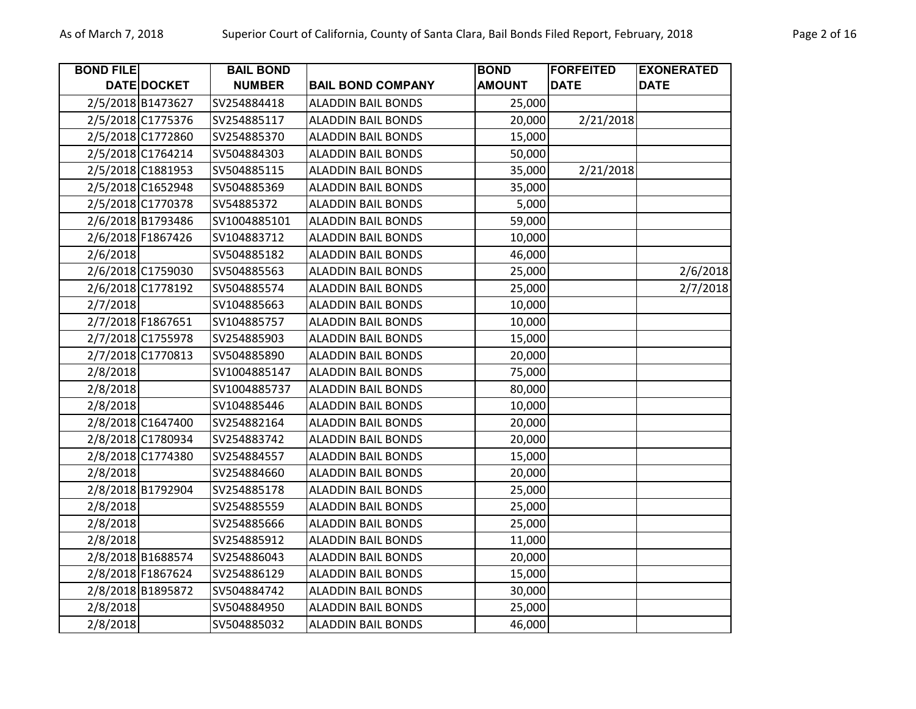| Page 2 of 16 |  |  |
|--------------|--|--|
|--------------|--|--|

| <b>BOND FILE</b> | <b>DATE DOCKET</b> | <b>BAIL BOND</b><br><b>NUMBER</b> | <b>BAIL BOND COMPANY</b>  | <b>BOND</b><br><b>AMOUNT</b> | <b>FORFEITED</b><br><b>DATE</b> | <b>EXONERATED</b><br><b>DATE</b> |
|------------------|--------------------|-----------------------------------|---------------------------|------------------------------|---------------------------------|----------------------------------|
|                  | 2/5/2018 B1473627  | SV254884418                       | <b>ALADDIN BAIL BONDS</b> | 25,000                       |                                 |                                  |
|                  | 2/5/2018 C1775376  | SV254885117                       | <b>ALADDIN BAIL BONDS</b> | 20,000                       | 2/21/2018                       |                                  |
|                  | 2/5/2018 C1772860  | SV254885370                       | <b>ALADDIN BAIL BONDS</b> | 15,000                       |                                 |                                  |
|                  | 2/5/2018 C1764214  | SV504884303                       | <b>ALADDIN BAIL BONDS</b> | 50,000                       |                                 |                                  |
|                  | 2/5/2018 C1881953  | SV504885115                       | <b>ALADDIN BAIL BONDS</b> | 35,000                       | 2/21/2018                       |                                  |
|                  | 2/5/2018 C1652948  | SV504885369                       | <b>ALADDIN BAIL BONDS</b> | 35,000                       |                                 |                                  |
|                  | 2/5/2018 C1770378  | SV54885372                        | <b>ALADDIN BAIL BONDS</b> | 5,000                        |                                 |                                  |
|                  | 2/6/2018 B1793486  | SV1004885101                      | <b>ALADDIN BAIL BONDS</b> | 59,000                       |                                 |                                  |
|                  | 2/6/2018 F1867426  | SV104883712                       | <b>ALADDIN BAIL BONDS</b> | 10,000                       |                                 |                                  |
| 2/6/2018         |                    | SV504885182                       | <b>ALADDIN BAIL BONDS</b> | 46,000                       |                                 |                                  |
|                  | 2/6/2018 C1759030  | SV504885563                       | <b>ALADDIN BAIL BONDS</b> | 25,000                       |                                 | 2/6/2018                         |
|                  | 2/6/2018 C1778192  | SV504885574                       | <b>ALADDIN BAIL BONDS</b> | 25,000                       |                                 | 2/7/2018                         |
| 2/7/2018         |                    | SV104885663                       | <b>ALADDIN BAIL BONDS</b> | 10,000                       |                                 |                                  |
|                  | 2/7/2018 F1867651  | SV104885757                       | <b>ALADDIN BAIL BONDS</b> | 10,000                       |                                 |                                  |
|                  | 2/7/2018 C1755978  | SV254885903                       | <b>ALADDIN BAIL BONDS</b> | 15,000                       |                                 |                                  |
|                  | 2/7/2018 C1770813  | SV504885890                       | <b>ALADDIN BAIL BONDS</b> | 20,000                       |                                 |                                  |
| 2/8/2018         |                    | SV1004885147                      | <b>ALADDIN BAIL BONDS</b> | 75,000                       |                                 |                                  |
| 2/8/2018         |                    | SV1004885737                      | <b>ALADDIN BAIL BONDS</b> | 80,000                       |                                 |                                  |
| 2/8/2018         |                    | SV104885446                       | <b>ALADDIN BAIL BONDS</b> | 10,000                       |                                 |                                  |
|                  | 2/8/2018 C1647400  | SV254882164                       | <b>ALADDIN BAIL BONDS</b> | 20,000                       |                                 |                                  |
|                  | 2/8/2018 C1780934  | SV254883742                       | <b>ALADDIN BAIL BONDS</b> | 20,000                       |                                 |                                  |
|                  | 2/8/2018 C1774380  | SV254884557                       | <b>ALADDIN BAIL BONDS</b> | 15,000                       |                                 |                                  |
| 2/8/2018         |                    | SV254884660                       | <b>ALADDIN BAIL BONDS</b> | 20,000                       |                                 |                                  |
|                  | 2/8/2018 B1792904  | SV254885178                       | <b>ALADDIN BAIL BONDS</b> | 25,000                       |                                 |                                  |
| 2/8/2018         |                    | SV254885559                       | <b>ALADDIN BAIL BONDS</b> | 25,000                       |                                 |                                  |
| 2/8/2018         |                    | SV254885666                       | <b>ALADDIN BAIL BONDS</b> | 25,000                       |                                 |                                  |
| 2/8/2018         |                    | SV254885912                       | <b>ALADDIN BAIL BONDS</b> | 11,000                       |                                 |                                  |
|                  | 2/8/2018 B1688574  | SV254886043                       | <b>ALADDIN BAIL BONDS</b> | 20,000                       |                                 |                                  |
|                  | 2/8/2018 F1867624  | SV254886129                       | <b>ALADDIN BAIL BONDS</b> | 15,000                       |                                 |                                  |
|                  | 2/8/2018 B1895872  | SV504884742                       | <b>ALADDIN BAIL BONDS</b> | 30,000                       |                                 |                                  |
| 2/8/2018         |                    | SV504884950                       | <b>ALADDIN BAIL BONDS</b> | 25,000                       |                                 |                                  |
| 2/8/2018         |                    | SV504885032                       | <b>ALADDIN BAIL BONDS</b> | 46,000                       |                                 |                                  |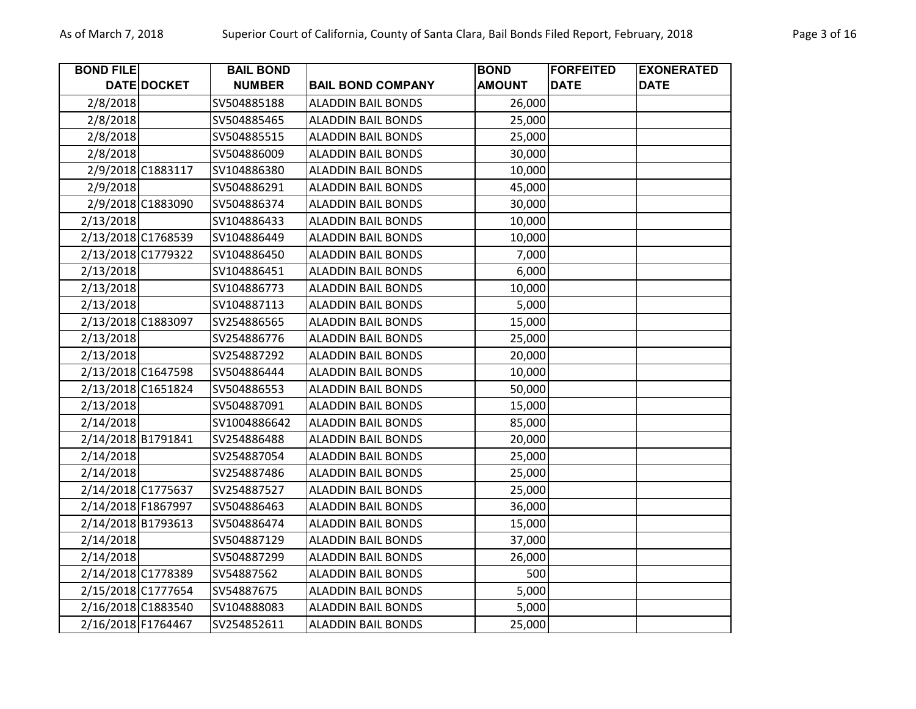| <b>BOND FILE</b>   |                   | <b>BAIL BOND</b> |                           | <b>BOND</b>   | <b>FORFEITED</b> | <b>EXONERATED</b> |
|--------------------|-------------------|------------------|---------------------------|---------------|------------------|-------------------|
|                    | DATE DOCKET       | <b>NUMBER</b>    | <b>BAIL BOND COMPANY</b>  | <b>AMOUNT</b> | <b>DATE</b>      | <b>DATE</b>       |
| 2/8/2018           |                   | SV504885188      | <b>ALADDIN BAIL BONDS</b> | 26,000        |                  |                   |
| 2/8/2018           |                   | SV504885465      | <b>ALADDIN BAIL BONDS</b> | 25,000        |                  |                   |
| 2/8/2018           |                   | SV504885515      | <b>ALADDIN BAIL BONDS</b> | 25,000        |                  |                   |
| 2/8/2018           |                   | SV504886009      | <b>ALADDIN BAIL BONDS</b> | 30,000        |                  |                   |
|                    | 2/9/2018 C1883117 | SV104886380      | <b>ALADDIN BAIL BONDS</b> | 10,000        |                  |                   |
| 2/9/2018           |                   | SV504886291      | <b>ALADDIN BAIL BONDS</b> | 45,000        |                  |                   |
|                    | 2/9/2018 C1883090 | SV504886374      | <b>ALADDIN BAIL BONDS</b> | 30,000        |                  |                   |
| 2/13/2018          |                   | SV104886433      | <b>ALADDIN BAIL BONDS</b> | 10,000        |                  |                   |
| 2/13/2018 C1768539 |                   | SV104886449      | <b>ALADDIN BAIL BONDS</b> | 10,000        |                  |                   |
| 2/13/2018 C1779322 |                   | SV104886450      | <b>ALADDIN BAIL BONDS</b> | 7,000         |                  |                   |
| 2/13/2018          |                   | SV104886451      | <b>ALADDIN BAIL BONDS</b> | 6,000         |                  |                   |
| 2/13/2018          |                   | SV104886773      | <b>ALADDIN BAIL BONDS</b> | 10,000        |                  |                   |
| 2/13/2018          |                   | SV104887113      | <b>ALADDIN BAIL BONDS</b> | 5,000         |                  |                   |
| 2/13/2018 C1883097 |                   | SV254886565      | <b>ALADDIN BAIL BONDS</b> | 15,000        |                  |                   |
| 2/13/2018          |                   | SV254886776      | <b>ALADDIN BAIL BONDS</b> | 25,000        |                  |                   |
| 2/13/2018          |                   | SV254887292      | <b>ALADDIN BAIL BONDS</b> | 20,000        |                  |                   |
| 2/13/2018 C1647598 |                   | SV504886444      | <b>ALADDIN BAIL BONDS</b> | 10,000        |                  |                   |
| 2/13/2018 C1651824 |                   | SV504886553      | <b>ALADDIN BAIL BONDS</b> | 50,000        |                  |                   |
| 2/13/2018          |                   | SV504887091      | <b>ALADDIN BAIL BONDS</b> | 15,000        |                  |                   |
| 2/14/2018          |                   | SV1004886642     | <b>ALADDIN BAIL BONDS</b> | 85,000        |                  |                   |
| 2/14/2018 B1791841 |                   | SV254886488      | <b>ALADDIN BAIL BONDS</b> | 20,000        |                  |                   |
| 2/14/2018          |                   | SV254887054      | <b>ALADDIN BAIL BONDS</b> | 25,000        |                  |                   |
| 2/14/2018          |                   | SV254887486      | <b>ALADDIN BAIL BONDS</b> | 25,000        |                  |                   |
| 2/14/2018 C1775637 |                   | SV254887527      | <b>ALADDIN BAIL BONDS</b> | 25,000        |                  |                   |
| 2/14/2018 F1867997 |                   | SV504886463      | <b>ALADDIN BAIL BONDS</b> | 36,000        |                  |                   |
| 2/14/2018 B1793613 |                   | SV504886474      | <b>ALADDIN BAIL BONDS</b> | 15,000        |                  |                   |
| 2/14/2018          |                   | SV504887129      | <b>ALADDIN BAIL BONDS</b> | 37,000        |                  |                   |
| 2/14/2018          |                   | SV504887299      | <b>ALADDIN BAIL BONDS</b> | 26,000        |                  |                   |
| 2/14/2018 C1778389 |                   | SV54887562       | <b>ALADDIN BAIL BONDS</b> | 500           |                  |                   |
| 2/15/2018 C1777654 |                   | SV54887675       | <b>ALADDIN BAIL BONDS</b> | 5,000         |                  |                   |
| 2/16/2018 C1883540 |                   | SV104888083      | <b>ALADDIN BAIL BONDS</b> | 5,000         |                  |                   |
| 2/16/2018 F1764467 |                   | SV254852611      | <b>ALADDIN BAIL BONDS</b> | 25,000        |                  |                   |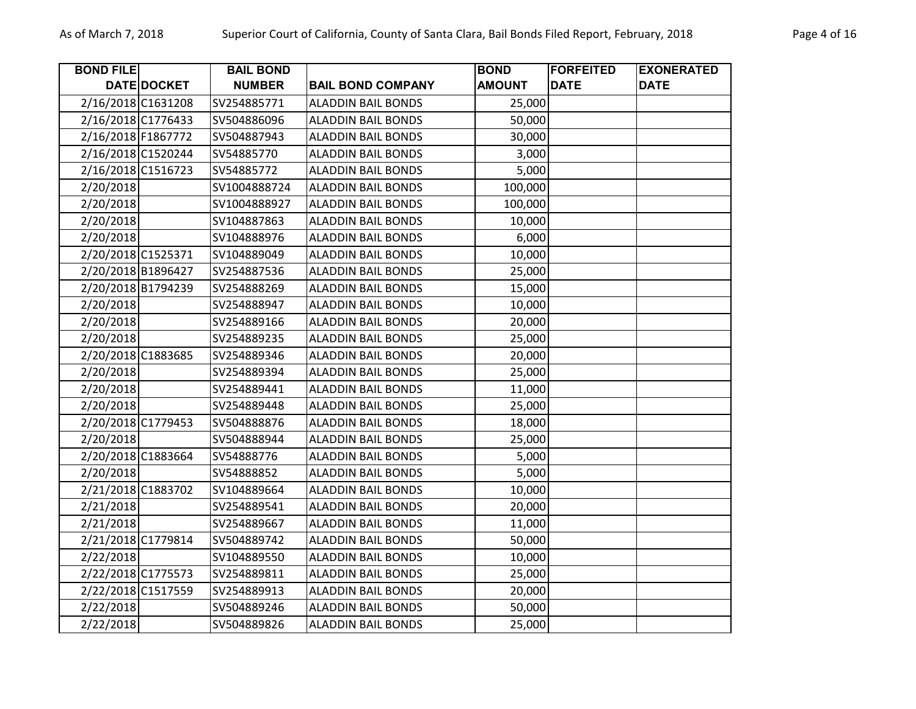| <b>BOND FILE</b>   |             | <b>BAIL BOND</b> |                           | <b>BOND</b>   | <b>FORFEITED</b> | <b>EXONERATED</b> |
|--------------------|-------------|------------------|---------------------------|---------------|------------------|-------------------|
|                    | DATE DOCKET | <b>NUMBER</b>    | <b>BAIL BOND COMPANY</b>  | <b>AMOUNT</b> | <b>DATE</b>      | <b>DATE</b>       |
| 2/16/2018 C1631208 |             | SV254885771      | <b>ALADDIN BAIL BONDS</b> | 25,000        |                  |                   |
| 2/16/2018 C1776433 |             | SV504886096      | <b>ALADDIN BAIL BONDS</b> | 50,000        |                  |                   |
| 2/16/2018 F1867772 |             | SV504887943      | <b>ALADDIN BAIL BONDS</b> | 30,000        |                  |                   |
| 2/16/2018 C1520244 |             | SV54885770       | <b>ALADDIN BAIL BONDS</b> | 3,000         |                  |                   |
| 2/16/2018 C1516723 |             | SV54885772       | <b>ALADDIN BAIL BONDS</b> | 5,000         |                  |                   |
| 2/20/2018          |             | SV1004888724     | <b>ALADDIN BAIL BONDS</b> | 100,000       |                  |                   |
| 2/20/2018          |             | SV1004888927     | <b>ALADDIN BAIL BONDS</b> | 100,000       |                  |                   |
| 2/20/2018          |             | SV104887863      | <b>ALADDIN BAIL BONDS</b> | 10,000        |                  |                   |
| 2/20/2018          |             | SV104888976      | <b>ALADDIN BAIL BONDS</b> | 6,000         |                  |                   |
| 2/20/2018 C1525371 |             | SV104889049      | <b>ALADDIN BAIL BONDS</b> | 10,000        |                  |                   |
| 2/20/2018 B1896427 |             | SV254887536      | <b>ALADDIN BAIL BONDS</b> | 25,000        |                  |                   |
| 2/20/2018 B1794239 |             | SV254888269      | <b>ALADDIN BAIL BONDS</b> | 15,000        |                  |                   |
| 2/20/2018          |             | SV254888947      | <b>ALADDIN BAIL BONDS</b> | 10,000        |                  |                   |
| 2/20/2018          |             | SV254889166      | <b>ALADDIN BAIL BONDS</b> | 20,000        |                  |                   |
| 2/20/2018          |             | SV254889235      | <b>ALADDIN BAIL BONDS</b> | 25,000        |                  |                   |
| 2/20/2018 C1883685 |             | SV254889346      | <b>ALADDIN BAIL BONDS</b> | 20,000        |                  |                   |
| 2/20/2018          |             | SV254889394      | <b>ALADDIN BAIL BONDS</b> | 25,000        |                  |                   |
| 2/20/2018          |             | SV254889441      | <b>ALADDIN BAIL BONDS</b> | 11,000        |                  |                   |
| 2/20/2018          |             | SV254889448      | <b>ALADDIN BAIL BONDS</b> | 25,000        |                  |                   |
| 2/20/2018 C1779453 |             | SV504888876      | <b>ALADDIN BAIL BONDS</b> | 18,000        |                  |                   |
| 2/20/2018          |             | SV504888944      | <b>ALADDIN BAIL BONDS</b> | 25,000        |                  |                   |
| 2/20/2018 C1883664 |             | SV54888776       | <b>ALADDIN BAIL BONDS</b> | 5,000         |                  |                   |
| 2/20/2018          |             | SV54888852       | <b>ALADDIN BAIL BONDS</b> | 5,000         |                  |                   |
| 2/21/2018 C1883702 |             | SV104889664      | <b>ALADDIN BAIL BONDS</b> | 10,000        |                  |                   |
| 2/21/2018          |             | SV254889541      | <b>ALADDIN BAIL BONDS</b> | 20,000        |                  |                   |
| 2/21/2018          |             | SV254889667      | <b>ALADDIN BAIL BONDS</b> | 11,000        |                  |                   |
| 2/21/2018 C1779814 |             | SV504889742      | <b>ALADDIN BAIL BONDS</b> | 50,000        |                  |                   |
| 2/22/2018          |             | SV104889550      | <b>ALADDIN BAIL BONDS</b> | 10,000        |                  |                   |
| 2/22/2018 C1775573 |             | SV254889811      | <b>ALADDIN BAIL BONDS</b> | 25,000        |                  |                   |
| 2/22/2018 C1517559 |             | SV254889913      | <b>ALADDIN BAIL BONDS</b> | 20,000        |                  |                   |
| 2/22/2018          |             | SV504889246      | <b>ALADDIN BAIL BONDS</b> | 50,000        |                  |                   |
| 2/22/2018          |             | SV504889826      | <b>ALADDIN BAIL BONDS</b> | 25,000        |                  |                   |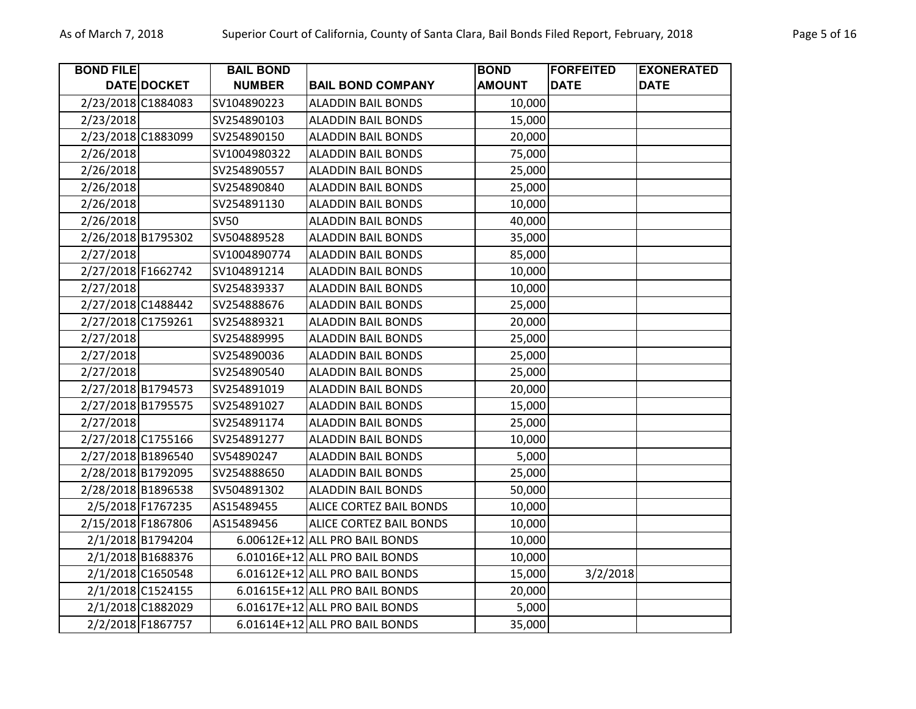| <b>BOND FILE</b>   |                   | <b>BAIL BOND</b> |                                | <b>BOND</b>   | <b>FORFEITED</b> | <b>EXONERATED</b> |
|--------------------|-------------------|------------------|--------------------------------|---------------|------------------|-------------------|
|                    | DATE DOCKET       | <b>NUMBER</b>    | <b>BAIL BOND COMPANY</b>       | <b>AMOUNT</b> | <b>DATE</b>      | <b>DATE</b>       |
| 2/23/2018 C1884083 |                   | SV104890223      | <b>ALADDIN BAIL BONDS</b>      | 10,000        |                  |                   |
| 2/23/2018          |                   | SV254890103      | <b>ALADDIN BAIL BONDS</b>      | 15,000        |                  |                   |
| 2/23/2018 C1883099 |                   | SV254890150      | <b>ALADDIN BAIL BONDS</b>      | 20,000        |                  |                   |
| 2/26/2018          |                   | SV1004980322     | <b>ALADDIN BAIL BONDS</b>      | 75,000        |                  |                   |
| 2/26/2018          |                   | SV254890557      | <b>ALADDIN BAIL BONDS</b>      | 25,000        |                  |                   |
| 2/26/2018          |                   | SV254890840      | <b>ALADDIN BAIL BONDS</b>      | 25,000        |                  |                   |
| 2/26/2018          |                   | SV254891130      | <b>ALADDIN BAIL BONDS</b>      | 10,000        |                  |                   |
| 2/26/2018          |                   | <b>SV50</b>      | <b>ALADDIN BAIL BONDS</b>      | 40,000        |                  |                   |
| 2/26/2018 B1795302 |                   | SV504889528      | <b>ALADDIN BAIL BONDS</b>      | 35,000        |                  |                   |
| 2/27/2018          |                   | SV1004890774     | <b>ALADDIN BAIL BONDS</b>      | 85,000        |                  |                   |
| 2/27/2018 F1662742 |                   | SV104891214      | <b>ALADDIN BAIL BONDS</b>      | 10,000        |                  |                   |
| 2/27/2018          |                   | SV254839337      | <b>ALADDIN BAIL BONDS</b>      | 10,000        |                  |                   |
| 2/27/2018 C1488442 |                   | SV254888676      | <b>ALADDIN BAIL BONDS</b>      | 25,000        |                  |                   |
| 2/27/2018 C1759261 |                   | SV254889321      | <b>ALADDIN BAIL BONDS</b>      | 20,000        |                  |                   |
| 2/27/2018          |                   | SV254889995      | <b>ALADDIN BAIL BONDS</b>      | 25,000        |                  |                   |
| 2/27/2018          |                   | SV254890036      | <b>ALADDIN BAIL BONDS</b>      | 25,000        |                  |                   |
| 2/27/2018          |                   | SV254890540      | <b>ALADDIN BAIL BONDS</b>      | 25,000        |                  |                   |
| 2/27/2018 B1794573 |                   | SV254891019      | <b>ALADDIN BAIL BONDS</b>      | 20,000        |                  |                   |
| 2/27/2018 B1795575 |                   | SV254891027      | ALADDIN BAIL BONDS             | 15,000        |                  |                   |
| 2/27/2018          |                   | SV254891174      | <b>ALADDIN BAIL BONDS</b>      | 25,000        |                  |                   |
| 2/27/2018 C1755166 |                   | SV254891277      | <b>ALADDIN BAIL BONDS</b>      | 10,000        |                  |                   |
| 2/27/2018 B1896540 |                   | SV54890247       | <b>ALADDIN BAIL BONDS</b>      | 5,000         |                  |                   |
| 2/28/2018 B1792095 |                   | SV254888650      | <b>ALADDIN BAIL BONDS</b>      | 25,000        |                  |                   |
| 2/28/2018 B1896538 |                   | SV504891302      | <b>ALADDIN BAIL BONDS</b>      | 50,000        |                  |                   |
|                    | 2/5/2018 F1767235 | AS15489455       | <b>ALICE CORTEZ BAIL BONDS</b> | 10,000        |                  |                   |
| 2/15/2018 F1867806 |                   | AS15489456       | <b>ALICE CORTEZ BAIL BONDS</b> | 10,000        |                  |                   |
|                    | 2/1/2018 B1794204 |                  | 6.00612E+12 ALL PRO BAIL BONDS | 10,000        |                  |                   |
|                    | 2/1/2018 B1688376 |                  | 6.01016E+12 ALL PRO BAIL BONDS | 10,000        |                  |                   |
|                    | 2/1/2018 C1650548 |                  | 6.01612E+12 ALL PRO BAIL BONDS | 15,000        | 3/2/2018         |                   |
|                    | 2/1/2018 C1524155 |                  | 6.01615E+12 ALL PRO BAIL BONDS | 20,000        |                  |                   |
|                    | 2/1/2018 C1882029 |                  | 6.01617E+12 ALL PRO BAIL BONDS | 5,000         |                  |                   |
|                    | 2/2/2018 F1867757 |                  | 6.01614E+12 ALL PRO BAIL BONDS | 35,000        |                  |                   |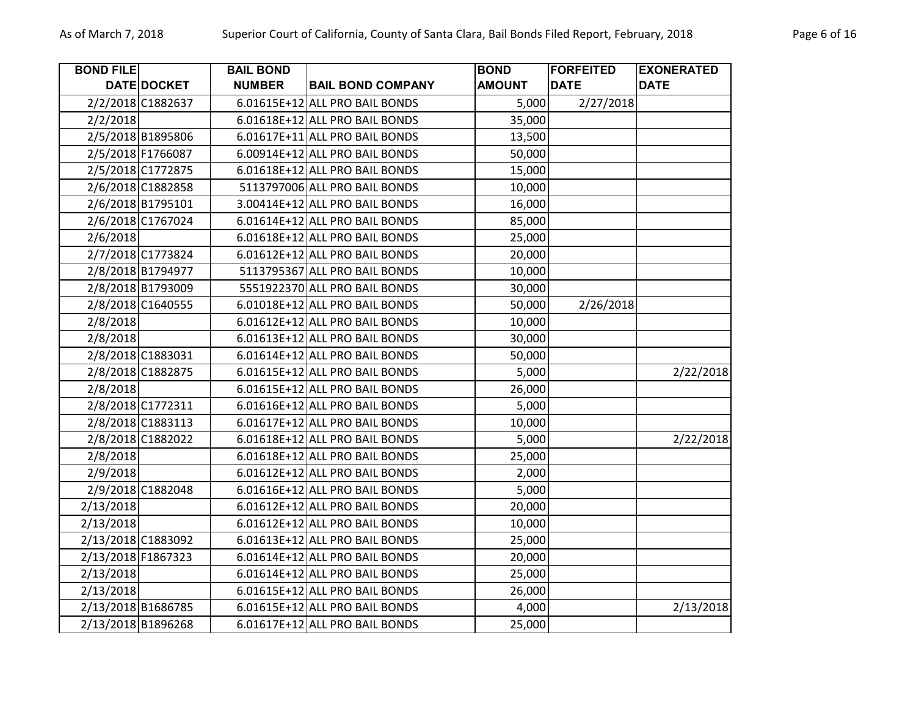| <b>BOND FILE</b>   |                    | <b>BAIL BOND</b> |                                | <b>BOND</b>   | <b>FORFEITED</b> | <b>EXONERATED</b> |
|--------------------|--------------------|------------------|--------------------------------|---------------|------------------|-------------------|
|                    | <b>DATE DOCKET</b> | <b>NUMBER</b>    | <b>BAIL BOND COMPANY</b>       | <b>AMOUNT</b> | <b>DATE</b>      | <b>DATE</b>       |
|                    | 2/2/2018 C1882637  |                  | 6.01615E+12 ALL PRO BAIL BONDS | 5,000         | 2/27/2018        |                   |
| 2/2/2018           |                    |                  | 6.01618E+12 ALL PRO BAIL BONDS | 35,000        |                  |                   |
|                    | 2/5/2018 B1895806  |                  | 6.01617E+11 ALL PRO BAIL BONDS | 13,500        |                  |                   |
|                    | 2/5/2018 F1766087  |                  | 6.00914E+12 ALL PRO BAIL BONDS | 50,000        |                  |                   |
|                    | 2/5/2018 C1772875  |                  | 6.01618E+12 ALL PRO BAIL BONDS | 15,000        |                  |                   |
|                    | 2/6/2018 C1882858  |                  | 5113797006 ALL PRO BAIL BONDS  | 10,000        |                  |                   |
|                    | 2/6/2018 B1795101  |                  | 3.00414E+12 ALL PRO BAIL BONDS | 16,000        |                  |                   |
|                    | 2/6/2018 C1767024  |                  | 6.01614E+12 ALL PRO BAIL BONDS | 85,000        |                  |                   |
| 2/6/2018           |                    |                  | 6.01618E+12 ALL PRO BAIL BONDS | 25,000        |                  |                   |
|                    | 2/7/2018 C1773824  |                  | 6.01612E+12 ALL PRO BAIL BONDS | 20,000        |                  |                   |
|                    | 2/8/2018 B1794977  |                  | 5113795367 ALL PRO BAIL BONDS  | 10,000        |                  |                   |
|                    | 2/8/2018 B1793009  |                  | 5551922370 ALL PRO BAIL BONDS  | 30,000        |                  |                   |
|                    | 2/8/2018 C1640555  |                  | 6.01018E+12 ALL PRO BAIL BONDS | 50,000        | 2/26/2018        |                   |
| 2/8/2018           |                    |                  | 6.01612E+12 ALL PRO BAIL BONDS | 10,000        |                  |                   |
| 2/8/2018           |                    |                  | 6.01613E+12 ALL PRO BAIL BONDS | 30,000        |                  |                   |
|                    | 2/8/2018 C1883031  |                  | 6.01614E+12 ALL PRO BAIL BONDS | 50,000        |                  |                   |
|                    | 2/8/2018 C1882875  |                  | 6.01615E+12 ALL PRO BAIL BONDS | 5,000         |                  | 2/22/2018         |
| 2/8/2018           |                    |                  | 6.01615E+12 ALL PRO BAIL BONDS | 26,000        |                  |                   |
|                    | 2/8/2018 C1772311  |                  | 6.01616E+12 ALL PRO BAIL BONDS | 5,000         |                  |                   |
|                    | 2/8/2018 C1883113  |                  | 6.01617E+12 ALL PRO BAIL BONDS | 10,000        |                  |                   |
|                    | 2/8/2018 C1882022  |                  | 6.01618E+12 ALL PRO BAIL BONDS | 5,000         |                  | 2/22/2018         |
| 2/8/2018           |                    |                  | 6.01618E+12 ALL PRO BAIL BONDS | 25,000        |                  |                   |
| 2/9/2018           |                    |                  | 6.01612E+12 ALL PRO BAIL BONDS | 2,000         |                  |                   |
|                    | 2/9/2018 C1882048  |                  | 6.01616E+12 ALL PRO BAIL BONDS | 5,000         |                  |                   |
| 2/13/2018          |                    |                  | 6.01612E+12 ALL PRO BAIL BONDS | 20,000        |                  |                   |
| 2/13/2018          |                    |                  | 6.01612E+12 ALL PRO BAIL BONDS | 10,000        |                  |                   |
| 2/13/2018 C1883092 |                    |                  | 6.01613E+12 ALL PRO BAIL BONDS | 25,000        |                  |                   |
| 2/13/2018 F1867323 |                    |                  | 6.01614E+12 ALL PRO BAIL BONDS | 20,000        |                  |                   |
| 2/13/2018          |                    |                  | 6.01614E+12 ALL PRO BAIL BONDS | 25,000        |                  |                   |
| 2/13/2018          |                    |                  | 6.01615E+12 ALL PRO BAIL BONDS | 26,000        |                  |                   |
| 2/13/2018 B1686785 |                    |                  | 6.01615E+12 ALL PRO BAIL BONDS | 4,000         |                  | 2/13/2018         |
| 2/13/2018 B1896268 |                    |                  | 6.01617E+12 ALL PRO BAIL BONDS | 25,000        |                  |                   |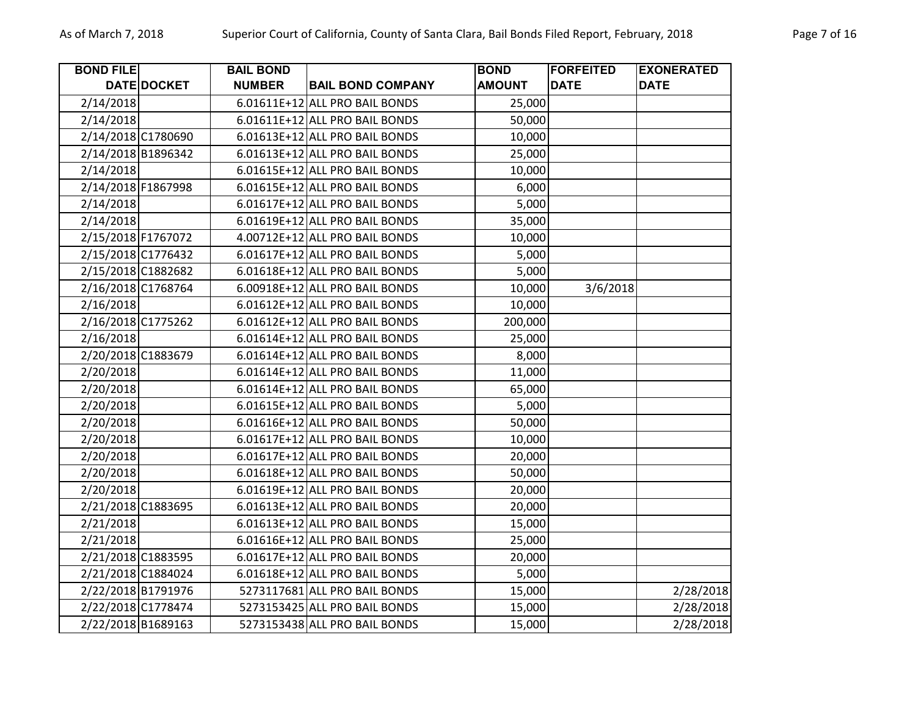| <b>BOND FILE</b>   |             | <b>BAIL BOND</b> |                                | <b>BOND</b>   | <b>FORFEITED</b> | <b>EXONERATED</b> |
|--------------------|-------------|------------------|--------------------------------|---------------|------------------|-------------------|
|                    | DATE DOCKET | <b>NUMBER</b>    | <b>BAIL BOND COMPANY</b>       | <b>AMOUNT</b> | <b>DATE</b>      | <b>DATE</b>       |
| 2/14/2018          |             |                  | 6.01611E+12 ALL PRO BAIL BONDS | 25,000        |                  |                   |
| 2/14/2018          |             |                  | 6.01611E+12 ALL PRO BAIL BONDS | 50,000        |                  |                   |
| 2/14/2018 C1780690 |             |                  | 6.01613E+12 ALL PRO BAIL BONDS | 10,000        |                  |                   |
| 2/14/2018 B1896342 |             |                  | 6.01613E+12 ALL PRO BAIL BONDS | 25,000        |                  |                   |
| 2/14/2018          |             |                  | 6.01615E+12 ALL PRO BAIL BONDS | 10,000        |                  |                   |
| 2/14/2018 F1867998 |             |                  | 6.01615E+12 ALL PRO BAIL BONDS | 6,000         |                  |                   |
| 2/14/2018          |             |                  | 6.01617E+12 ALL PRO BAIL BONDS | 5,000         |                  |                   |
| 2/14/2018          |             |                  | 6.01619E+12 ALL PRO BAIL BONDS | 35,000        |                  |                   |
| 2/15/2018 F1767072 |             |                  | 4.00712E+12 ALL PRO BAIL BONDS | 10,000        |                  |                   |
| 2/15/2018 C1776432 |             |                  | 6.01617E+12 ALL PRO BAIL BONDS | 5,000         |                  |                   |
| 2/15/2018 C1882682 |             |                  | 6.01618E+12 ALL PRO BAIL BONDS | 5,000         |                  |                   |
| 2/16/2018 C1768764 |             |                  | 6.00918E+12 ALL PRO BAIL BONDS | 10,000        | 3/6/2018         |                   |
| 2/16/2018          |             |                  | 6.01612E+12 ALL PRO BAIL BONDS | 10,000        |                  |                   |
| 2/16/2018 C1775262 |             |                  | 6.01612E+12 ALL PRO BAIL BONDS | 200,000       |                  |                   |
| 2/16/2018          |             |                  | 6.01614E+12 ALL PRO BAIL BONDS | 25,000        |                  |                   |
| 2/20/2018 C1883679 |             |                  | 6.01614E+12 ALL PRO BAIL BONDS | 8,000         |                  |                   |
| 2/20/2018          |             |                  | 6.01614E+12 ALL PRO BAIL BONDS | 11,000        |                  |                   |
| 2/20/2018          |             |                  | 6.01614E+12 ALL PRO BAIL BONDS | 65,000        |                  |                   |
| 2/20/2018          |             |                  | 6.01615E+12 ALL PRO BAIL BONDS | 5,000         |                  |                   |
| 2/20/2018          |             |                  | 6.01616E+12 ALL PRO BAIL BONDS | 50,000        |                  |                   |
| 2/20/2018          |             |                  | 6.01617E+12 ALL PRO BAIL BONDS | 10,000        |                  |                   |
| 2/20/2018          |             |                  | 6.01617E+12 ALL PRO BAIL BONDS | 20,000        |                  |                   |
| 2/20/2018          |             |                  | 6.01618E+12 ALL PRO BAIL BONDS | 50,000        |                  |                   |
| 2/20/2018          |             |                  | 6.01619E+12 ALL PRO BAIL BONDS | 20,000        |                  |                   |
| 2/21/2018 C1883695 |             |                  | 6.01613E+12 ALL PRO BAIL BONDS | 20,000        |                  |                   |
| 2/21/2018          |             |                  | 6.01613E+12 ALL PRO BAIL BONDS | 15,000        |                  |                   |
| 2/21/2018          |             |                  | 6.01616E+12 ALL PRO BAIL BONDS | 25,000        |                  |                   |
| 2/21/2018 C1883595 |             |                  | 6.01617E+12 ALL PRO BAIL BONDS | 20,000        |                  |                   |
| 2/21/2018 C1884024 |             |                  | 6.01618E+12 ALL PRO BAIL BONDS | 5,000         |                  |                   |
| 2/22/2018 B1791976 |             |                  | 5273117681 ALL PRO BAIL BONDS  | 15,000        |                  | 2/28/2018         |
| 2/22/2018 C1778474 |             |                  | 5273153425 ALL PRO BAIL BONDS  | 15,000        |                  | 2/28/2018         |
| 2/22/2018 B1689163 |             |                  | 5273153438 ALL PRO BAIL BONDS  | 15,000        |                  | 2/28/2018         |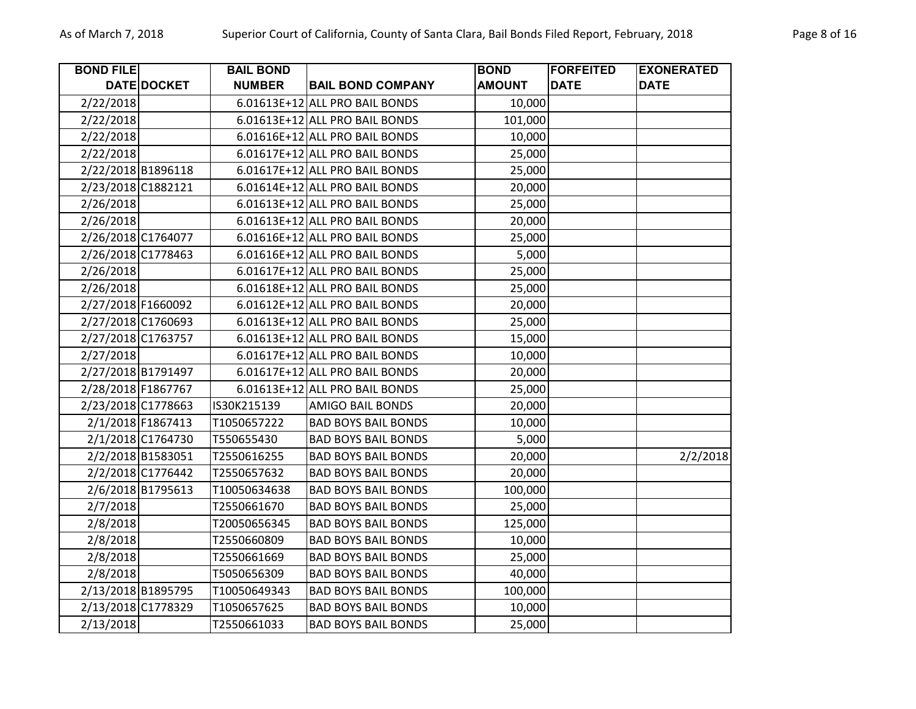| <b>BOND FILE</b>   |                    | <b>BAIL BOND</b> |                                | <b>BOND</b>   | <b>FORFEITED</b> | <b>EXONERATED</b> |
|--------------------|--------------------|------------------|--------------------------------|---------------|------------------|-------------------|
|                    | DATE DOCKET        | <b>NUMBER</b>    | <b>BAIL BOND COMPANY</b>       | <b>AMOUNT</b> | <b>DATE</b>      | <b>DATE</b>       |
| 2/22/2018          |                    |                  | 6.01613E+12 ALL PRO BAIL BONDS | 10,000        |                  |                   |
| 2/22/2018          |                    |                  | 6.01613E+12 ALL PRO BAIL BONDS | 101,000       |                  |                   |
| 2/22/2018          |                    |                  | 6.01616E+12 ALL PRO BAIL BONDS | 10,000        |                  |                   |
| 2/22/2018          |                    |                  | 6.01617E+12 ALL PRO BAIL BONDS | 25,000        |                  |                   |
|                    | 2/22/2018 B1896118 |                  | 6.01617E+12 ALL PRO BAIL BONDS | 25,000        |                  |                   |
| 2/23/2018 C1882121 |                    |                  | 6.01614E+12 ALL PRO BAIL BONDS | 20,000        |                  |                   |
| 2/26/2018          |                    |                  | 6.01613E+12 ALL PRO BAIL BONDS | 25,000        |                  |                   |
| 2/26/2018          |                    |                  | 6.01613E+12 ALL PRO BAIL BONDS | 20,000        |                  |                   |
| 2/26/2018 C1764077 |                    |                  | 6.01616E+12 ALL PRO BAIL BONDS | 25,000        |                  |                   |
| 2/26/2018 C1778463 |                    |                  | 6.01616E+12 ALL PRO BAIL BONDS | 5,000         |                  |                   |
| 2/26/2018          |                    |                  | 6.01617E+12 ALL PRO BAIL BONDS | 25,000        |                  |                   |
| 2/26/2018          |                    |                  | 6.01618E+12 ALL PRO BAIL BONDS | 25,000        |                  |                   |
| 2/27/2018 F1660092 |                    |                  | 6.01612E+12 ALL PRO BAIL BONDS | 20,000        |                  |                   |
| 2/27/2018 C1760693 |                    |                  | 6.01613E+12 ALL PRO BAIL BONDS | 25,000        |                  |                   |
| 2/27/2018 C1763757 |                    |                  | 6.01613E+12 ALL PRO BAIL BONDS | 15,000        |                  |                   |
| 2/27/2018          |                    |                  | 6.01617E+12 ALL PRO BAIL BONDS | 10,000        |                  |                   |
| 2/27/2018 B1791497 |                    |                  | 6.01617E+12 ALL PRO BAIL BONDS | 20,000        |                  |                   |
| 2/28/2018 F1867767 |                    |                  | 6.01613E+12 ALL PRO BAIL BONDS | 25,000        |                  |                   |
| 2/23/2018 C1778663 |                    | IS30K215139      | <b>AMIGO BAIL BONDS</b>        | 20,000        |                  |                   |
|                    | 2/1/2018 F1867413  | T1050657222      | <b>BAD BOYS BAIL BONDS</b>     | 10,000        |                  |                   |
|                    | 2/1/2018 C1764730  | T550655430       | <b>BAD BOYS BAIL BONDS</b>     | 5,000         |                  |                   |
|                    | 2/2/2018 B1583051  | T2550616255      | <b>BAD BOYS BAIL BONDS</b>     | 20,000        |                  | 2/2/2018          |
|                    | 2/2/2018 C1776442  | T2550657632      | <b>BAD BOYS BAIL BONDS</b>     | 20,000        |                  |                   |
|                    | 2/6/2018 B1795613  | T10050634638     | <b>BAD BOYS BAIL BONDS</b>     | 100,000       |                  |                   |
| 2/7/2018           |                    | T2550661670      | <b>BAD BOYS BAIL BONDS</b>     | 25,000        |                  |                   |
| 2/8/2018           |                    | T20050656345     | <b>BAD BOYS BAIL BONDS</b>     | 125,000       |                  |                   |
| 2/8/2018           |                    | T2550660809      | <b>BAD BOYS BAIL BONDS</b>     | 10,000        |                  |                   |
| 2/8/2018           |                    | T2550661669      | <b>BAD BOYS BAIL BONDS</b>     | 25,000        |                  |                   |
| 2/8/2018           |                    | T5050656309      | <b>BAD BOYS BAIL BONDS</b>     | 40,000        |                  |                   |
|                    | 2/13/2018 B1895795 | T10050649343     | <b>BAD BOYS BAIL BONDS</b>     | 100,000       |                  |                   |
| 2/13/2018 C1778329 |                    | T1050657625      | <b>BAD BOYS BAIL BONDS</b>     | 10,000        |                  |                   |
| 2/13/2018          |                    | T2550661033      | <b>BAD BOYS BAIL BONDS</b>     | 25,000        |                  |                   |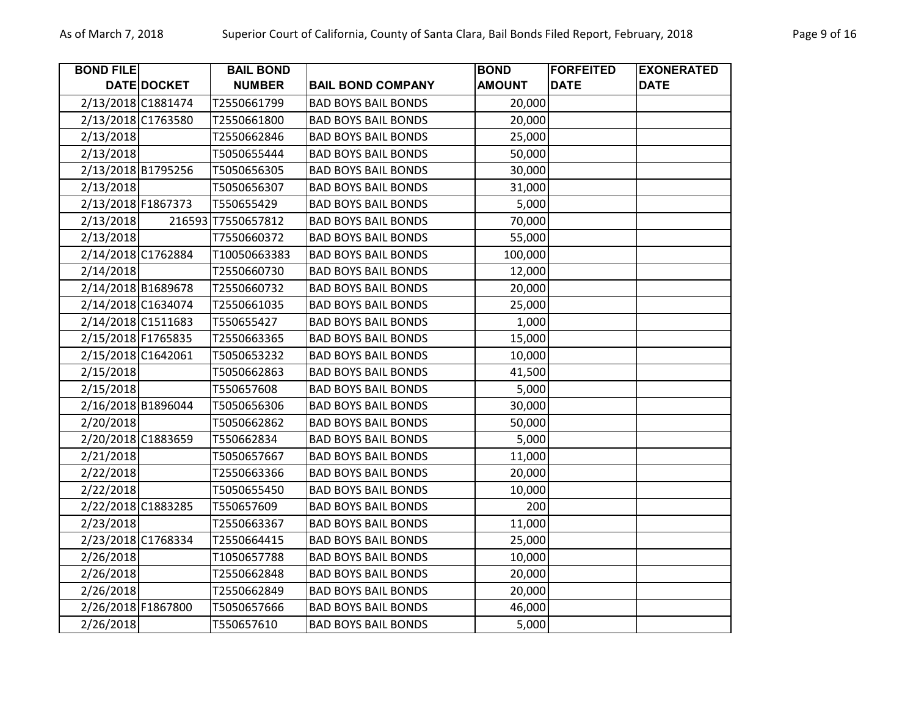| <b>BOND FILE</b>   |             | <b>BAIL BOND</b>   |                            | <b>BOND</b>   | <b>FORFEITED</b> | <b>EXONERATED</b> |
|--------------------|-------------|--------------------|----------------------------|---------------|------------------|-------------------|
|                    | DATE DOCKET | <b>NUMBER</b>      | <b>BAIL BOND COMPANY</b>   | <b>AMOUNT</b> | <b>DATE</b>      | <b>DATE</b>       |
| 2/13/2018 C1881474 |             | T2550661799        | <b>BAD BOYS BAIL BONDS</b> | 20,000        |                  |                   |
| 2/13/2018 C1763580 |             | T2550661800        | <b>BAD BOYS BAIL BONDS</b> | 20,000        |                  |                   |
| 2/13/2018          |             | T2550662846        | <b>BAD BOYS BAIL BONDS</b> | 25,000        |                  |                   |
| 2/13/2018          |             | T5050655444        | <b>BAD BOYS BAIL BONDS</b> | 50,000        |                  |                   |
| 2/13/2018 B1795256 |             | T5050656305        | <b>BAD BOYS BAIL BONDS</b> | 30,000        |                  |                   |
| 2/13/2018          |             | T5050656307        | <b>BAD BOYS BAIL BONDS</b> | 31,000        |                  |                   |
| 2/13/2018 F1867373 |             | T550655429         | <b>BAD BOYS BAIL BONDS</b> | 5,000         |                  |                   |
| 2/13/2018          |             | 216593 77550657812 | <b>BAD BOYS BAIL BONDS</b> | 70,000        |                  |                   |
| 2/13/2018          |             | T7550660372        | <b>BAD BOYS BAIL BONDS</b> | 55,000        |                  |                   |
| 2/14/2018 C1762884 |             | T10050663383       | <b>BAD BOYS BAIL BONDS</b> | 100,000       |                  |                   |
| 2/14/2018          |             | T2550660730        | <b>BAD BOYS BAIL BONDS</b> | 12,000        |                  |                   |
| 2/14/2018 B1689678 |             | T2550660732        | <b>BAD BOYS BAIL BONDS</b> | 20,000        |                  |                   |
| 2/14/2018 C1634074 |             | T2550661035        | <b>BAD BOYS BAIL BONDS</b> | 25,000        |                  |                   |
| 2/14/2018 C1511683 |             | T550655427         | <b>BAD BOYS BAIL BONDS</b> | 1,000         |                  |                   |
| 2/15/2018 F1765835 |             | T2550663365        | <b>BAD BOYS BAIL BONDS</b> | 15,000        |                  |                   |
| 2/15/2018 C1642061 |             | T5050653232        | <b>BAD BOYS BAIL BONDS</b> | 10,000        |                  |                   |
| 2/15/2018          |             | T5050662863        | <b>BAD BOYS BAIL BONDS</b> | 41,500        |                  |                   |
| 2/15/2018          |             | T550657608         | <b>BAD BOYS BAIL BONDS</b> | 5,000         |                  |                   |
| 2/16/2018 B1896044 |             | T5050656306        | <b>BAD BOYS BAIL BONDS</b> | 30,000        |                  |                   |
| 2/20/2018          |             | T5050662862        | <b>BAD BOYS BAIL BONDS</b> | 50,000        |                  |                   |
| 2/20/2018 C1883659 |             | T550662834         | <b>BAD BOYS BAIL BONDS</b> | 5,000         |                  |                   |
| 2/21/2018          |             | T5050657667        | <b>BAD BOYS BAIL BONDS</b> | 11,000        |                  |                   |
| 2/22/2018          |             | T2550663366        | <b>BAD BOYS BAIL BONDS</b> | 20,000        |                  |                   |
| 2/22/2018          |             | T5050655450        | <b>BAD BOYS BAIL BONDS</b> | 10,000        |                  |                   |
| 2/22/2018 C1883285 |             | T550657609         | <b>BAD BOYS BAIL BONDS</b> | 200           |                  |                   |
| 2/23/2018          |             | T2550663367        | <b>BAD BOYS BAIL BONDS</b> | 11,000        |                  |                   |
| 2/23/2018 C1768334 |             | T2550664415        | <b>BAD BOYS BAIL BONDS</b> | 25,000        |                  |                   |
| 2/26/2018          |             | T1050657788        | <b>BAD BOYS BAIL BONDS</b> | 10,000        |                  |                   |
| 2/26/2018          |             | T2550662848        | <b>BAD BOYS BAIL BONDS</b> | 20,000        |                  |                   |
| 2/26/2018          |             | T2550662849        | <b>BAD BOYS BAIL BONDS</b> | 20,000        |                  |                   |
| 2/26/2018 F1867800 |             | T5050657666        | <b>BAD BOYS BAIL BONDS</b> | 46,000        |                  |                   |
| 2/26/2018          |             | T550657610         | <b>BAD BOYS BAIL BONDS</b> | 5,000         |                  |                   |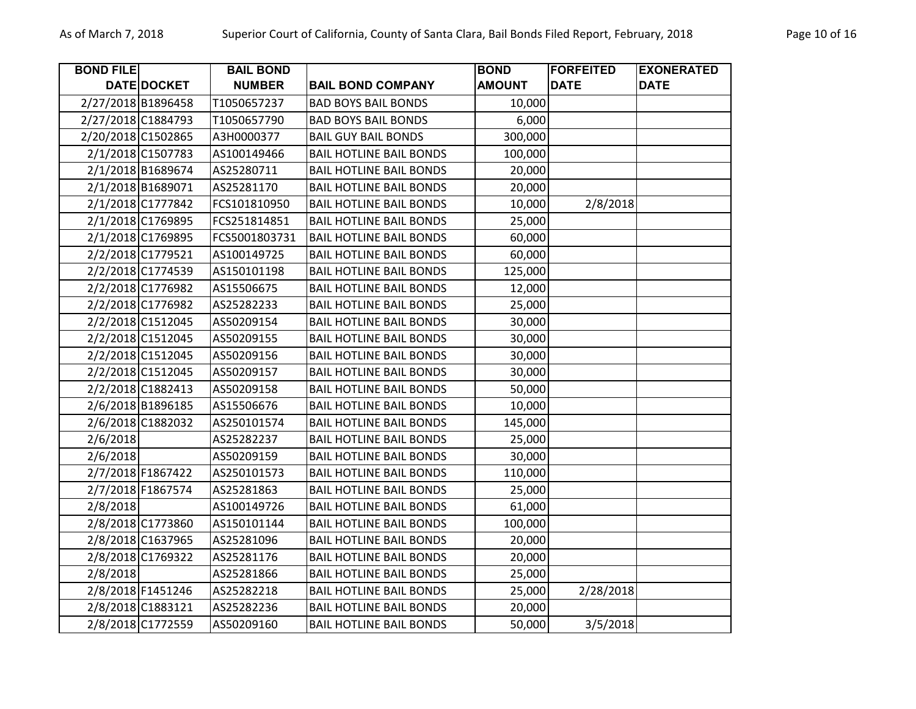| <b>BOND FILE</b> |                    | <b>BAIL BOND</b> |                                | <b>BOND</b>   | <b>FORFEITED</b> | <b>EXONERATED</b> |
|------------------|--------------------|------------------|--------------------------------|---------------|------------------|-------------------|
|                  | <b>DATE DOCKET</b> | <b>NUMBER</b>    | <b>BAIL BOND COMPANY</b>       | <b>AMOUNT</b> | <b>DATE</b>      | <b>DATE</b>       |
|                  | 2/27/2018 B1896458 | T1050657237      | <b>BAD BOYS BAIL BONDS</b>     | 10,000        |                  |                   |
|                  | 2/27/2018 C1884793 | T1050657790      | <b>BAD BOYS BAIL BONDS</b>     | 6,000         |                  |                   |
|                  | 2/20/2018 C1502865 | A3H0000377       | <b>BAIL GUY BAIL BONDS</b>     | 300,000       |                  |                   |
|                  | 2/1/2018 C1507783  | AS100149466      | <b>BAIL HOTLINE BAIL BONDS</b> | 100,000       |                  |                   |
|                  | 2/1/2018 B1689674  | AS25280711       | <b>BAIL HOTLINE BAIL BONDS</b> | 20,000        |                  |                   |
|                  | 2/1/2018 B1689071  | AS25281170       | <b>BAIL HOTLINE BAIL BONDS</b> | 20,000        |                  |                   |
|                  | 2/1/2018 C1777842  | FCS101810950     | <b>BAIL HOTLINE BAIL BONDS</b> | 10,000        | 2/8/2018         |                   |
|                  | 2/1/2018 C1769895  | FCS251814851     | <b>BAIL HOTLINE BAIL BONDS</b> | 25,000        |                  |                   |
|                  | 2/1/2018 C1769895  | FCS5001803731    | <b>BAIL HOTLINE BAIL BONDS</b> | 60,000        |                  |                   |
|                  | 2/2/2018 C1779521  | AS100149725      | <b>BAIL HOTLINE BAIL BONDS</b> | 60,000        |                  |                   |
|                  | 2/2/2018 C1774539  | AS150101198      | <b>BAIL HOTLINE BAIL BONDS</b> | 125,000       |                  |                   |
|                  | 2/2/2018 C1776982  | AS15506675       | <b>BAIL HOTLINE BAIL BONDS</b> | 12,000        |                  |                   |
|                  | 2/2/2018 C1776982  | AS25282233       | <b>BAIL HOTLINE BAIL BONDS</b> | 25,000        |                  |                   |
|                  | 2/2/2018 C1512045  | AS50209154       | <b>BAIL HOTLINE BAIL BONDS</b> | 30,000        |                  |                   |
|                  | 2/2/2018 C1512045  | AS50209155       | <b>BAIL HOTLINE BAIL BONDS</b> | 30,000        |                  |                   |
|                  | 2/2/2018 C1512045  | AS50209156       | <b>BAIL HOTLINE BAIL BONDS</b> | 30,000        |                  |                   |
|                  | 2/2/2018 C1512045  | AS50209157       | <b>BAIL HOTLINE BAIL BONDS</b> | 30,000        |                  |                   |
|                  | 2/2/2018 C1882413  | AS50209158       | <b>BAIL HOTLINE BAIL BONDS</b> | 50,000        |                  |                   |
|                  | 2/6/2018 B1896185  | AS15506676       | <b>BAIL HOTLINE BAIL BONDS</b> | 10,000        |                  |                   |
|                  | 2/6/2018 C1882032  | AS250101574      | <b>BAIL HOTLINE BAIL BONDS</b> | 145,000       |                  |                   |
| 2/6/2018         |                    | AS25282237       | <b>BAIL HOTLINE BAIL BONDS</b> | 25,000        |                  |                   |
| 2/6/2018         |                    | AS50209159       | <b>BAIL HOTLINE BAIL BONDS</b> | 30,000        |                  |                   |
|                  | 2/7/2018 F1867422  | AS250101573      | <b>BAIL HOTLINE BAIL BONDS</b> | 110,000       |                  |                   |
|                  | 2/7/2018 F1867574  | AS25281863       | <b>BAIL HOTLINE BAIL BONDS</b> | 25,000        |                  |                   |
| 2/8/2018         |                    | AS100149726      | <b>BAIL HOTLINE BAIL BONDS</b> | 61,000        |                  |                   |
|                  | 2/8/2018 C1773860  | AS150101144      | <b>BAIL HOTLINE BAIL BONDS</b> | 100,000       |                  |                   |
|                  | 2/8/2018 C1637965  | AS25281096       | <b>BAIL HOTLINE BAIL BONDS</b> | 20,000        |                  |                   |
|                  | 2/8/2018 C1769322  | AS25281176       | <b>BAIL HOTLINE BAIL BONDS</b> | 20,000        |                  |                   |
| 2/8/2018         |                    | AS25281866       | <b>BAIL HOTLINE BAIL BONDS</b> | 25,000        |                  |                   |
|                  | 2/8/2018 F1451246  | AS25282218       | <b>BAIL HOTLINE BAIL BONDS</b> | 25,000        | 2/28/2018        |                   |
|                  | 2/8/2018 C1883121  | AS25282236       | <b>BAIL HOTLINE BAIL BONDS</b> | 20,000        |                  |                   |
|                  | 2/8/2018 C1772559  | AS50209160       | <b>BAIL HOTLINE BAIL BONDS</b> | 50,000        | 3/5/2018         |                   |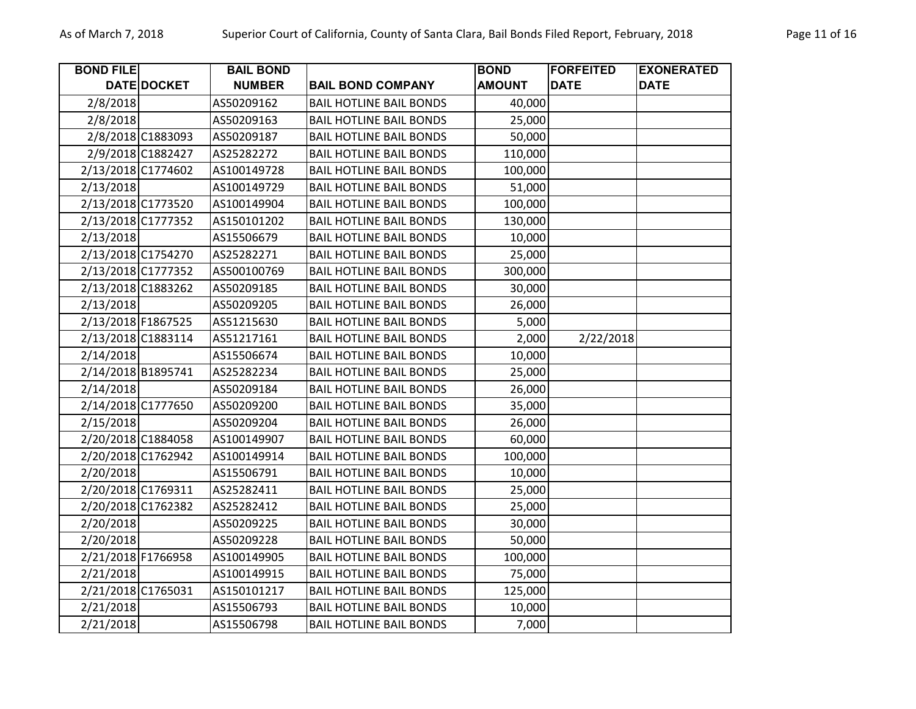| <b>BOND FILE</b>   |                    | <b>BAIL BOND</b> |                                | <b>BOND</b>   | <b>FORFEITED</b> | <b>EXONERATED</b> |
|--------------------|--------------------|------------------|--------------------------------|---------------|------------------|-------------------|
|                    | <b>DATE DOCKET</b> | <b>NUMBER</b>    | <b>BAIL BOND COMPANY</b>       | <b>AMOUNT</b> | <b>DATE</b>      | <b>DATE</b>       |
| 2/8/2018           |                    | AS50209162       | <b>BAIL HOTLINE BAIL BONDS</b> | 40,000        |                  |                   |
| 2/8/2018           |                    | AS50209163       | <b>BAIL HOTLINE BAIL BONDS</b> | 25,000        |                  |                   |
|                    | 2/8/2018 C1883093  | AS50209187       | <b>BAIL HOTLINE BAIL BONDS</b> | 50,000        |                  |                   |
|                    | 2/9/2018 C1882427  | AS25282272       | <b>BAIL HOTLINE BAIL BONDS</b> | 110,000       |                  |                   |
|                    | 2/13/2018 C1774602 | AS100149728      | <b>BAIL HOTLINE BAIL BONDS</b> | 100,000       |                  |                   |
| 2/13/2018          |                    | AS100149729      | <b>BAIL HOTLINE BAIL BONDS</b> | 51,000        |                  |                   |
|                    | 2/13/2018 C1773520 | AS100149904      | <b>BAIL HOTLINE BAIL BONDS</b> | 100,000       |                  |                   |
|                    | 2/13/2018 C1777352 | AS150101202      | <b>BAIL HOTLINE BAIL BONDS</b> | 130,000       |                  |                   |
| 2/13/2018          |                    | AS15506679       | <b>BAIL HOTLINE BAIL BONDS</b> | 10,000        |                  |                   |
|                    | 2/13/2018 C1754270 | AS25282271       | <b>BAIL HOTLINE BAIL BONDS</b> | 25,000        |                  |                   |
|                    | 2/13/2018 C1777352 | AS500100769      | <b>BAIL HOTLINE BAIL BONDS</b> | 300,000       |                  |                   |
|                    | 2/13/2018 C1883262 | AS50209185       | <b>BAIL HOTLINE BAIL BONDS</b> | 30,000        |                  |                   |
| 2/13/2018          |                    | AS50209205       | <b>BAIL HOTLINE BAIL BONDS</b> | 26,000        |                  |                   |
| 2/13/2018 F1867525 |                    | AS51215630       | <b>BAIL HOTLINE BAIL BONDS</b> | 5,000         |                  |                   |
|                    | 2/13/2018 C1883114 | AS51217161       | <b>BAIL HOTLINE BAIL BONDS</b> | 2,000         | 2/22/2018        |                   |
| 2/14/2018          |                    | AS15506674       | <b>BAIL HOTLINE BAIL BONDS</b> | 10,000        |                  |                   |
| 2/14/2018 B1895741 |                    | AS25282234       | <b>BAIL HOTLINE BAIL BONDS</b> | 25,000        |                  |                   |
| 2/14/2018          |                    | AS50209184       | <b>BAIL HOTLINE BAIL BONDS</b> | 26,000        |                  |                   |
|                    | 2/14/2018 C1777650 | AS50209200       | <b>BAIL HOTLINE BAIL BONDS</b> | 35,000        |                  |                   |
| 2/15/2018          |                    | AS50209204       | <b>BAIL HOTLINE BAIL BONDS</b> | 26,000        |                  |                   |
|                    | 2/20/2018 C1884058 | AS100149907      | <b>BAIL HOTLINE BAIL BONDS</b> | 60,000        |                  |                   |
|                    | 2/20/2018 C1762942 | AS100149914      | <b>BAIL HOTLINE BAIL BONDS</b> | 100,000       |                  |                   |
| 2/20/2018          |                    | AS15506791       | <b>BAIL HOTLINE BAIL BONDS</b> | 10,000        |                  |                   |
|                    | 2/20/2018 C1769311 | AS25282411       | <b>BAIL HOTLINE BAIL BONDS</b> | 25,000        |                  |                   |
|                    | 2/20/2018 C1762382 | AS25282412       | <b>BAIL HOTLINE BAIL BONDS</b> | 25,000        |                  |                   |
| 2/20/2018          |                    | AS50209225       | <b>BAIL HOTLINE BAIL BONDS</b> | 30,000        |                  |                   |
| 2/20/2018          |                    | AS50209228       | <b>BAIL HOTLINE BAIL BONDS</b> | 50,000        |                  |                   |
| 2/21/2018 F1766958 |                    | AS100149905      | <b>BAIL HOTLINE BAIL BONDS</b> | 100,000       |                  |                   |
| 2/21/2018          |                    | AS100149915      | <b>BAIL HOTLINE BAIL BONDS</b> | 75,000        |                  |                   |
|                    | 2/21/2018 C1765031 | AS150101217      | <b>BAIL HOTLINE BAIL BONDS</b> | 125,000       |                  |                   |
| 2/21/2018          |                    | AS15506793       | <b>BAIL HOTLINE BAIL BONDS</b> | 10,000        |                  |                   |
| 2/21/2018          |                    | AS15506798       | <b>BAIL HOTLINE BAIL BONDS</b> | 7,000         |                  |                   |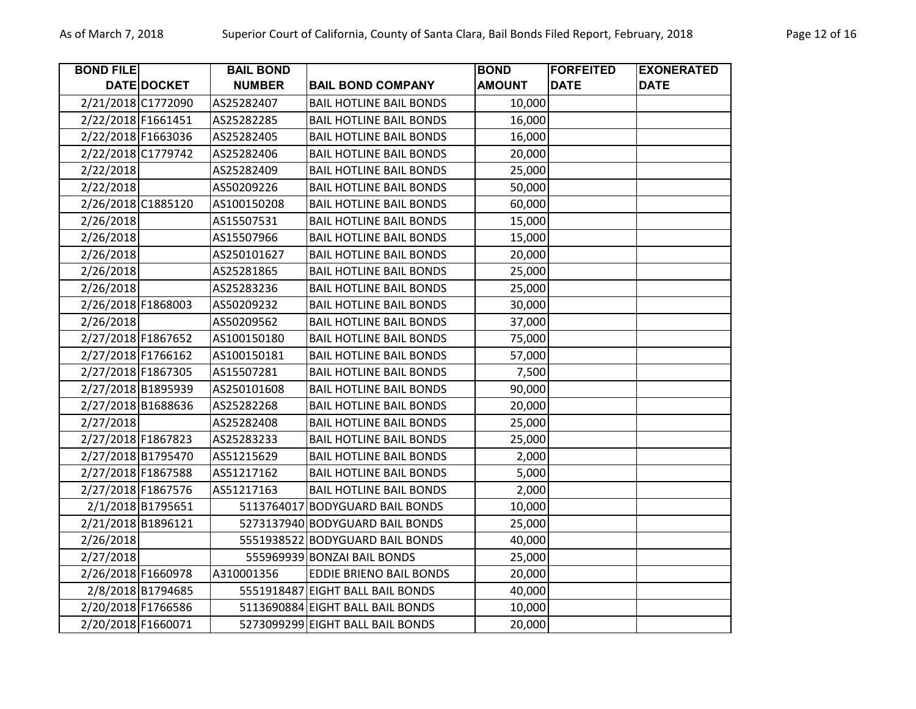| <b>BOND FILE</b>   |                    | <b>BAIL BOND</b> |                                  | <b>BOND</b>   | <b>FORFEITED</b> | <b>EXONERATED</b> |
|--------------------|--------------------|------------------|----------------------------------|---------------|------------------|-------------------|
|                    | DATE DOCKET        | <b>NUMBER</b>    | <b>BAIL BOND COMPANY</b>         | <b>AMOUNT</b> | <b>DATE</b>      | <b>DATE</b>       |
|                    | 2/21/2018 C1772090 | AS25282407       | <b>BAIL HOTLINE BAIL BONDS</b>   | 10,000        |                  |                   |
| 2/22/2018 F1661451 |                    | AS25282285       | <b>BAIL HOTLINE BAIL BONDS</b>   | 16,000        |                  |                   |
| 2/22/2018 F1663036 |                    | AS25282405       | <b>BAIL HOTLINE BAIL BONDS</b>   | 16,000        |                  |                   |
|                    | 2/22/2018 C1779742 | AS25282406       | <b>BAIL HOTLINE BAIL BONDS</b>   | 20,000        |                  |                   |
| 2/22/2018          |                    | AS25282409       | <b>BAIL HOTLINE BAIL BONDS</b>   | 25,000        |                  |                   |
| 2/22/2018          |                    | AS50209226       | <b>BAIL HOTLINE BAIL BONDS</b>   | 50,000        |                  |                   |
| 2/26/2018 C1885120 |                    | AS100150208      | <b>BAIL HOTLINE BAIL BONDS</b>   | 60,000        |                  |                   |
| 2/26/2018          |                    | AS15507531       | <b>BAIL HOTLINE BAIL BONDS</b>   | 15,000        |                  |                   |
| 2/26/2018          |                    | AS15507966       | <b>BAIL HOTLINE BAIL BONDS</b>   | 15,000        |                  |                   |
| 2/26/2018          |                    | AS250101627      | <b>BAIL HOTLINE BAIL BONDS</b>   | 20,000        |                  |                   |
| 2/26/2018          |                    | AS25281865       | <b>BAIL HOTLINE BAIL BONDS</b>   | 25,000        |                  |                   |
| 2/26/2018          |                    | AS25283236       | <b>BAIL HOTLINE BAIL BONDS</b>   | 25,000        |                  |                   |
| 2/26/2018 F1868003 |                    | AS50209232       | <b>BAIL HOTLINE BAIL BONDS</b>   | 30,000        |                  |                   |
| 2/26/2018          |                    | AS50209562       | <b>BAIL HOTLINE BAIL BONDS</b>   | 37,000        |                  |                   |
| 2/27/2018 F1867652 |                    | AS100150180      | <b>BAIL HOTLINE BAIL BONDS</b>   | 75,000        |                  |                   |
| 2/27/2018 F1766162 |                    | AS100150181      | <b>BAIL HOTLINE BAIL BONDS</b>   | 57,000        |                  |                   |
| 2/27/2018 F1867305 |                    | AS15507281       | <b>BAIL HOTLINE BAIL BONDS</b>   | 7,500         |                  |                   |
|                    | 2/27/2018 B1895939 | AS250101608      | <b>BAIL HOTLINE BAIL BONDS</b>   | 90,000        |                  |                   |
|                    | 2/27/2018 B1688636 | AS25282268       | <b>BAIL HOTLINE BAIL BONDS</b>   | 20,000        |                  |                   |
| 2/27/2018          |                    | AS25282408       | <b>BAIL HOTLINE BAIL BONDS</b>   | 25,000        |                  |                   |
| 2/27/2018 F1867823 |                    | AS25283233       | <b>BAIL HOTLINE BAIL BONDS</b>   | 25,000        |                  |                   |
|                    | 2/27/2018 B1795470 | AS51215629       | <b>BAIL HOTLINE BAIL BONDS</b>   | 2,000         |                  |                   |
| 2/27/2018 F1867588 |                    | AS51217162       | <b>BAIL HOTLINE BAIL BONDS</b>   | 5,000         |                  |                   |
|                    | 2/27/2018 F1867576 | AS51217163       | <b>BAIL HOTLINE BAIL BONDS</b>   | 2,000         |                  |                   |
|                    | 2/1/2018 B1795651  |                  | 5113764017 BODYGUARD BAIL BONDS  | 10,000        |                  |                   |
|                    | 2/21/2018 B1896121 |                  | 5273137940 BODYGUARD BAIL BONDS  | 25,000        |                  |                   |
| 2/26/2018          |                    |                  | 5551938522 BODYGUARD BAIL BONDS  | 40,000        |                  |                   |
| 2/27/2018          |                    |                  | 555969939 BONZAI BAIL BONDS      | 25,000        |                  |                   |
| 2/26/2018 F1660978 |                    | A310001356       | <b>EDDIE BRIENO BAIL BONDS</b>   | 20,000        |                  |                   |
|                    | 2/8/2018 B1794685  |                  | 5551918487 EIGHT BALL BAIL BONDS | 40,000        |                  |                   |
|                    | 2/20/2018 F1766586 |                  | 5113690884 EIGHT BALL BAIL BONDS | 10,000        |                  |                   |
| 2/20/2018 F1660071 |                    |                  | 5273099299 EIGHT BALL BAIL BONDS | 20,000        |                  |                   |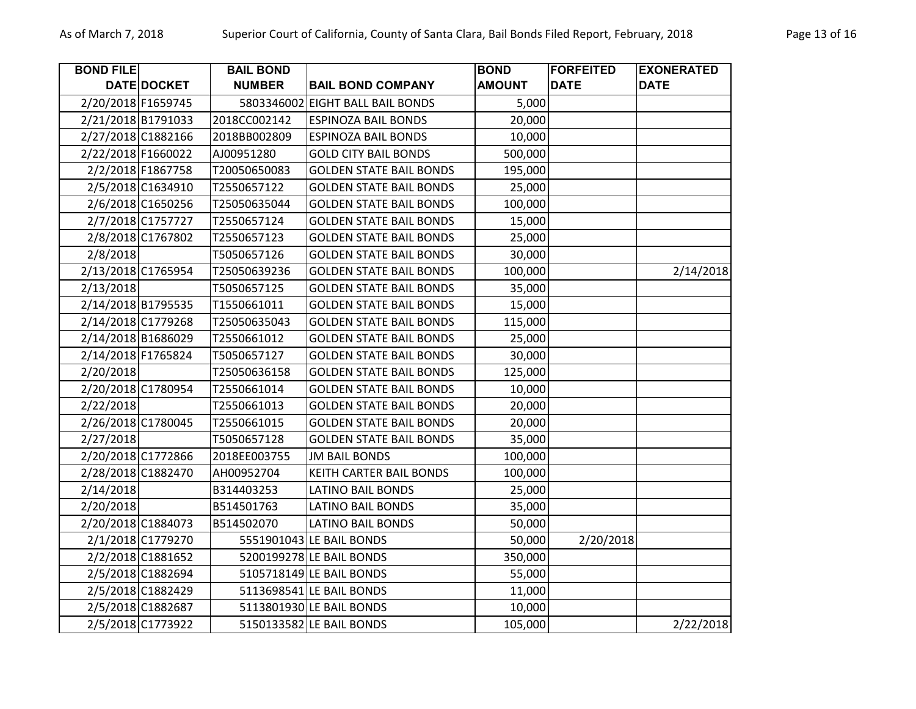| <b>BOND FILE</b>   |                    | <b>BAIL BOND</b> |                                  | <b>BOND</b>   | <b>FORFEITED</b> | <b>EXONERATED</b> |
|--------------------|--------------------|------------------|----------------------------------|---------------|------------------|-------------------|
|                    | DATE DOCKET        | <b>NUMBER</b>    | <b>BAIL BOND COMPANY</b>         | <b>AMOUNT</b> | <b>DATE</b>      | <b>DATE</b>       |
| 2/20/2018 F1659745 |                    |                  | 5803346002 EIGHT BALL BAIL BONDS | 5,000         |                  |                   |
| 2/21/2018 B1791033 |                    | 2018CC002142     | <b>ESPINOZA BAIL BONDS</b>       | 20,000        |                  |                   |
|                    | 2/27/2018 C1882166 | 2018BB002809     | <b>ESPINOZA BAIL BONDS</b>       | 10,000        |                  |                   |
| 2/22/2018 F1660022 |                    | AJ00951280       | <b>GOLD CITY BAIL BONDS</b>      | 500,000       |                  |                   |
|                    | 2/2/2018 F1867758  | T20050650083     | <b>GOLDEN STATE BAIL BONDS</b>   | 195,000       |                  |                   |
|                    | 2/5/2018 C1634910  | T2550657122      | <b>GOLDEN STATE BAIL BONDS</b>   | 25,000        |                  |                   |
|                    | 2/6/2018 C1650256  | T25050635044     | <b>GOLDEN STATE BAIL BONDS</b>   | 100,000       |                  |                   |
|                    | 2/7/2018 C1757727  | T2550657124      | <b>GOLDEN STATE BAIL BONDS</b>   | 15,000        |                  |                   |
|                    | 2/8/2018 C1767802  | T2550657123      | <b>GOLDEN STATE BAIL BONDS</b>   | 25,000        |                  |                   |
| 2/8/2018           |                    | T5050657126      | <b>GOLDEN STATE BAIL BONDS</b>   | 30,000        |                  |                   |
| 2/13/2018 C1765954 |                    | T25050639236     | <b>GOLDEN STATE BAIL BONDS</b>   | 100,000       |                  | 2/14/2018         |
| 2/13/2018          |                    | T5050657125      | <b>GOLDEN STATE BAIL BONDS</b>   | 35,000        |                  |                   |
| 2/14/2018 B1795535 |                    | T1550661011      | <b>GOLDEN STATE BAIL BONDS</b>   | 15,000        |                  |                   |
|                    | 2/14/2018 C1779268 | T25050635043     | <b>GOLDEN STATE BAIL BONDS</b>   | 115,000       |                  |                   |
|                    | 2/14/2018 B1686029 | T2550661012      | <b>GOLDEN STATE BAIL BONDS</b>   | 25,000        |                  |                   |
| 2/14/2018 F1765824 |                    | T5050657127      | <b>GOLDEN STATE BAIL BONDS</b>   | 30,000        |                  |                   |
| 2/20/2018          |                    | T25050636158     | <b>GOLDEN STATE BAIL BONDS</b>   | 125,000       |                  |                   |
|                    | 2/20/2018 C1780954 | T2550661014      | <b>GOLDEN STATE BAIL BONDS</b>   | 10,000        |                  |                   |
| 2/22/2018          |                    | T2550661013      | <b>GOLDEN STATE BAIL BONDS</b>   | 20,000        |                  |                   |
|                    | 2/26/2018 C1780045 | T2550661015      | <b>GOLDEN STATE BAIL BONDS</b>   | 20,000        |                  |                   |
| 2/27/2018          |                    | T5050657128      | <b>GOLDEN STATE BAIL BONDS</b>   | 35,000        |                  |                   |
| 2/20/2018 C1772866 |                    | 2018EE003755     | <b>JM BAIL BONDS</b>             | 100,000       |                  |                   |
|                    | 2/28/2018 C1882470 | AH00952704       | <b>KEITH CARTER BAIL BONDS</b>   | 100,000       |                  |                   |
| 2/14/2018          |                    | B314403253       | LATINO BAIL BONDS                | 25,000        |                  |                   |
| 2/20/2018          |                    | B514501763       | <b>LATINO BAIL BONDS</b>         | 35,000        |                  |                   |
|                    | 2/20/2018 C1884073 | B514502070       | <b>LATINO BAIL BONDS</b>         | 50,000        |                  |                   |
|                    | 2/1/2018 C1779270  |                  | 5551901043 LE BAIL BONDS         | 50,000        | 2/20/2018        |                   |
|                    | 2/2/2018 C1881652  |                  | 5200199278 LE BAIL BONDS         | 350,000       |                  |                   |
|                    | 2/5/2018 C1882694  |                  | 5105718149 LE BAIL BONDS         | 55,000        |                  |                   |
|                    | 2/5/2018 C1882429  |                  | 5113698541 LE BAIL BONDS         | 11,000        |                  |                   |
|                    | 2/5/2018 C1882687  |                  | 5113801930 LE BAIL BONDS         | 10,000        |                  |                   |
|                    | 2/5/2018 C1773922  |                  | 5150133582 LE BAIL BONDS         | 105,000       |                  | 2/22/2018         |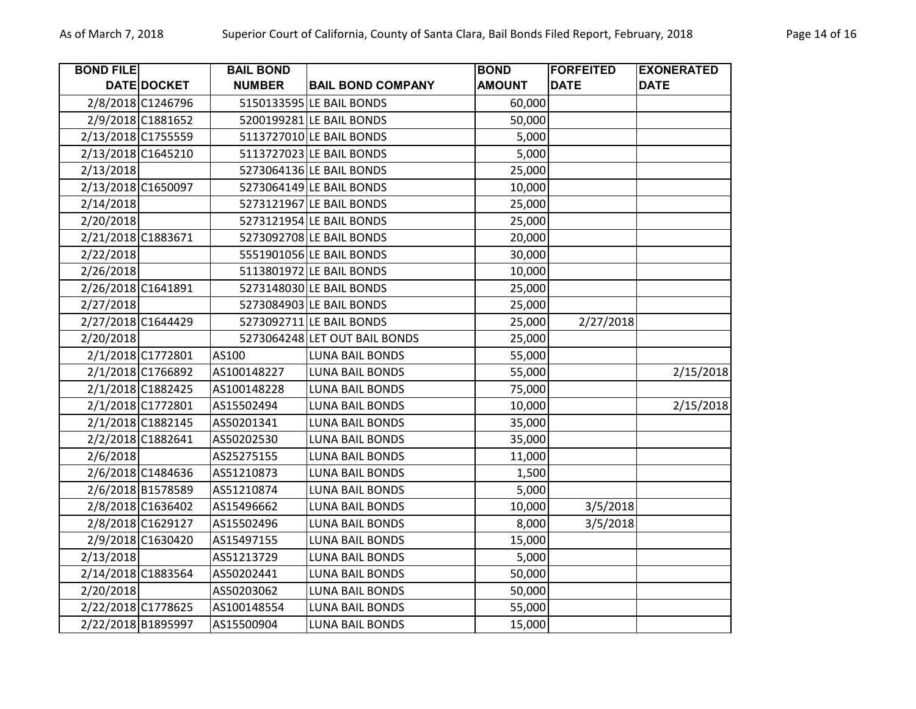| <b>BOND FILE</b> |                    | <b>BAIL BOND</b> |                               | <b>BOND</b>   | <b>FORFEITED</b> | <b>EXONERATED</b> |
|------------------|--------------------|------------------|-------------------------------|---------------|------------------|-------------------|
|                  | DATE DOCKET        | <b>NUMBER</b>    | <b>BAIL BOND COMPANY</b>      | <b>AMOUNT</b> | <b>DATE</b>      | <b>DATE</b>       |
|                  | 2/8/2018 C1246796  |                  | 5150133595 LE BAIL BONDS      | 60,000        |                  |                   |
|                  | 2/9/2018 C1881652  |                  | 5200199281 LE BAIL BONDS      | 50,000        |                  |                   |
|                  | 2/13/2018 C1755559 |                  | 5113727010 LE BAIL BONDS      | 5,000         |                  |                   |
|                  | 2/13/2018 C1645210 |                  | 5113727023 LE BAIL BONDS      | 5,000         |                  |                   |
| 2/13/2018        |                    |                  | 5273064136 LE BAIL BONDS      | 25,000        |                  |                   |
|                  | 2/13/2018 C1650097 |                  | 5273064149 LE BAIL BONDS      | 10,000        |                  |                   |
| 2/14/2018        |                    |                  | 5273121967 LE BAIL BONDS      | 25,000        |                  |                   |
| 2/20/2018        |                    |                  | 5273121954 LE BAIL BONDS      | 25,000        |                  |                   |
|                  | 2/21/2018 C1883671 |                  | 5273092708 LE BAIL BONDS      | 20,000        |                  |                   |
| 2/22/2018        |                    |                  | 5551901056 LE BAIL BONDS      | 30,000        |                  |                   |
| 2/26/2018        |                    |                  | 5113801972 LE BAIL BONDS      | 10,000        |                  |                   |
|                  | 2/26/2018 C1641891 |                  | 5273148030 LE BAIL BONDS      | 25,000        |                  |                   |
| 2/27/2018        |                    |                  | 5273084903 LE BAIL BONDS      | 25,000        |                  |                   |
|                  | 2/27/2018 C1644429 |                  | 5273092711 LE BAIL BONDS      | 25,000        | 2/27/2018        |                   |
| 2/20/2018        |                    |                  | 5273064248 LET OUT BAIL BONDS | 25,000        |                  |                   |
|                  | 2/1/2018 C1772801  | AS100            | <b>LUNA BAIL BONDS</b>        | 55,000        |                  |                   |
|                  | 2/1/2018 C1766892  | AS100148227      | <b>LUNA BAIL BONDS</b>        | 55,000        |                  | 2/15/2018         |
|                  | 2/1/2018 C1882425  | AS100148228      | <b>LUNA BAIL BONDS</b>        | 75,000        |                  |                   |
|                  | 2/1/2018 C1772801  | AS15502494       | <b>LUNA BAIL BONDS</b>        | 10,000        |                  | 2/15/2018         |
|                  | 2/1/2018 C1882145  | AS50201341       | <b>LUNA BAIL BONDS</b>        | 35,000        |                  |                   |
|                  | 2/2/2018 C1882641  | AS50202530       | <b>LUNA BAIL BONDS</b>        | 35,000        |                  |                   |
| 2/6/2018         |                    | AS25275155       | <b>LUNA BAIL BONDS</b>        | 11,000        |                  |                   |
|                  | 2/6/2018 C1484636  | AS51210873       | <b>LUNA BAIL BONDS</b>        | 1,500         |                  |                   |
|                  | 2/6/2018 B1578589  | AS51210874       | <b>LUNA BAIL BONDS</b>        | 5,000         |                  |                   |
|                  | 2/8/2018 C1636402  | AS15496662       | <b>LUNA BAIL BONDS</b>        | 10,000        | 3/5/2018         |                   |
|                  | 2/8/2018 C1629127  | AS15502496       | <b>LUNA BAIL BONDS</b>        | 8,000         | 3/5/2018         |                   |
|                  | 2/9/2018 C1630420  | AS15497155       | <b>LUNA BAIL BONDS</b>        | 15,000        |                  |                   |
| 2/13/2018        |                    | AS51213729       | <b>LUNA BAIL BONDS</b>        | 5,000         |                  |                   |
|                  | 2/14/2018 C1883564 | AS50202441       | <b>LUNA BAIL BONDS</b>        | 50,000        |                  |                   |
| 2/20/2018        |                    | AS50203062       | <b>LUNA BAIL BONDS</b>        | 50,000        |                  |                   |
|                  | 2/22/2018 C1778625 | AS100148554      | <b>LUNA BAIL BONDS</b>        | 55,000        |                  |                   |
|                  | 2/22/2018 B1895997 | AS15500904       | <b>LUNA BAIL BONDS</b>        | 15,000        |                  |                   |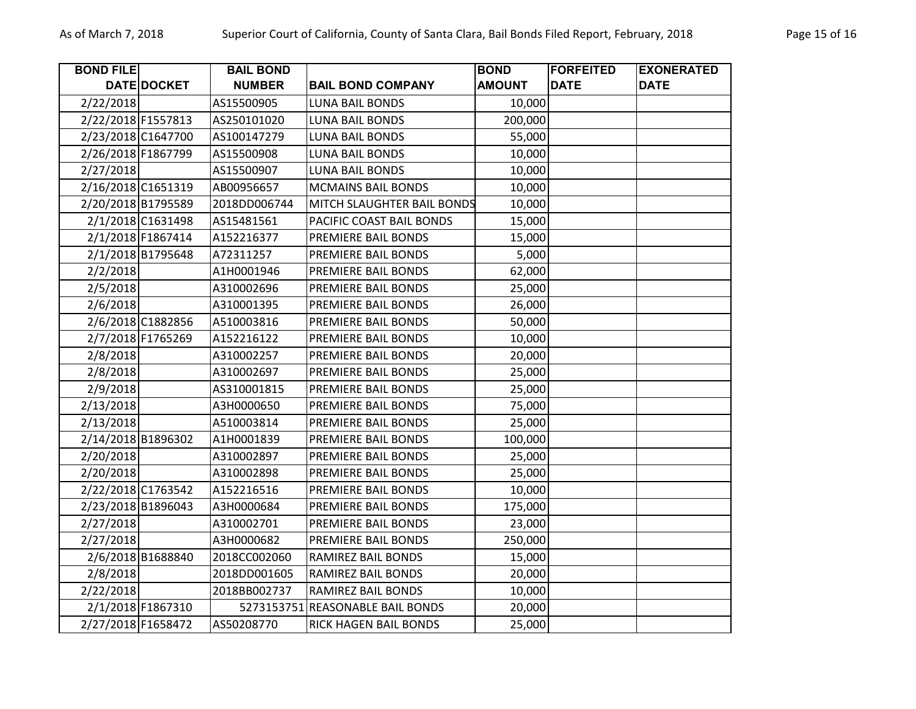| <b>BOND FILE</b>   |                    | <b>BAIL BOND</b> |                                  | <b>BOND</b>   | <b>FORFEITED</b> | <b>EXONERATED</b> |
|--------------------|--------------------|------------------|----------------------------------|---------------|------------------|-------------------|
|                    | DATE DOCKET        | <b>NUMBER</b>    | <b>BAIL BOND COMPANY</b>         | <b>AMOUNT</b> | <b>DATE</b>      | <b>DATE</b>       |
| 2/22/2018          |                    | AS15500905       | <b>LUNA BAIL BONDS</b>           | 10,000        |                  |                   |
| 2/22/2018 F1557813 |                    | AS250101020      | <b>LUNA BAIL BONDS</b>           | 200,000       |                  |                   |
| 2/23/2018 C1647700 |                    | AS100147279      | <b>LUNA BAIL BONDS</b>           | 55,000        |                  |                   |
| 2/26/2018 F1867799 |                    | AS15500908       | <b>LUNA BAIL BONDS</b>           | 10,000        |                  |                   |
| 2/27/2018          |                    | AS15500907       | <b>LUNA BAIL BONDS</b>           | 10,000        |                  |                   |
| 2/16/2018 C1651319 |                    | AB00956657       | <b>MCMAINS BAIL BONDS</b>        | 10,000        |                  |                   |
| 2/20/2018 B1795589 |                    | 2018DD006744     | MITCH SLAUGHTER BAIL BONDS       | 10,000        |                  |                   |
|                    | 2/1/2018 C1631498  | AS15481561       | PACIFIC COAST BAIL BONDS         | 15,000        |                  |                   |
|                    | 2/1/2018 F1867414  | A152216377       | PREMIERE BAIL BONDS              | 15,000        |                  |                   |
|                    | 2/1/2018 B1795648  | A72311257        | PREMIERE BAIL BONDS              | 5,000         |                  |                   |
| 2/2/2018           |                    | A1H0001946       | PREMIERE BAIL BONDS              | 62,000        |                  |                   |
| 2/5/2018           |                    | A310002696       | PREMIERE BAIL BONDS              | 25,000        |                  |                   |
| 2/6/2018           |                    | A310001395       | PREMIERE BAIL BONDS              | 26,000        |                  |                   |
|                    | 2/6/2018 C1882856  | A510003816       | PREMIERE BAIL BONDS              | 50,000        |                  |                   |
|                    | 2/7/2018 F1765269  | A152216122       | PREMIERE BAIL BONDS              | 10,000        |                  |                   |
| 2/8/2018           |                    | A310002257       | PREMIERE BAIL BONDS              | 20,000        |                  |                   |
| 2/8/2018           |                    | A310002697       | PREMIERE BAIL BONDS              | 25,000        |                  |                   |
| 2/9/2018           |                    | AS310001815      | PREMIERE BAIL BONDS              | 25,000        |                  |                   |
| 2/13/2018          |                    | A3H0000650       | PREMIERE BAIL BONDS              | 75,000        |                  |                   |
| 2/13/2018          |                    | A510003814       | PREMIERE BAIL BONDS              | 25,000        |                  |                   |
|                    | 2/14/2018 B1896302 | A1H0001839       | PREMIERE BAIL BONDS              | 100,000       |                  |                   |
| 2/20/2018          |                    | A310002897       | PREMIERE BAIL BONDS              | 25,000        |                  |                   |
| 2/20/2018          |                    | A310002898       | PREMIERE BAIL BONDS              | 25,000        |                  |                   |
|                    | 2/22/2018 C1763542 | A152216516       | PREMIERE BAIL BONDS              | 10,000        |                  |                   |
| 2/23/2018 B1896043 |                    | A3H0000684       | PREMIERE BAIL BONDS              | 175,000       |                  |                   |
| 2/27/2018          |                    | A310002701       | PREMIERE BAIL BONDS              | 23,000        |                  |                   |
| 2/27/2018          |                    | A3H0000682       | PREMIERE BAIL BONDS              | 250,000       |                  |                   |
|                    | 2/6/2018 B1688840  | 2018CC002060     | <b>RAMIREZ BAIL BONDS</b>        | 15,000        |                  |                   |
| 2/8/2018           |                    | 2018DD001605     | RAMIREZ BAIL BONDS               | 20,000        |                  |                   |
| 2/22/2018          |                    | 2018BB002737     | RAMIREZ BAIL BONDS               | 10,000        |                  |                   |
|                    | 2/1/2018 F1867310  |                  | 5273153751 REASONABLE BAIL BONDS | 20,000        |                  |                   |
| 2/27/2018 F1658472 |                    | AS50208770       | <b>RICK HAGEN BAIL BONDS</b>     | 25,000        |                  |                   |